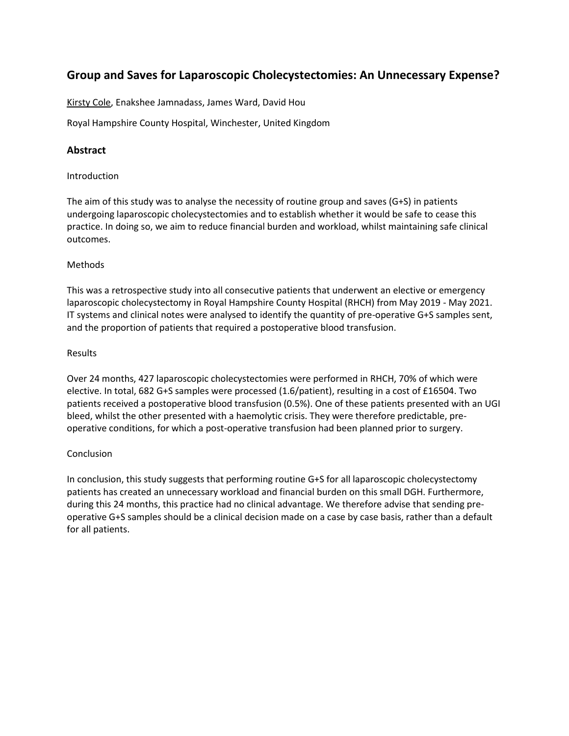## **Group and Saves for Laparoscopic Cholecystectomies: An Unnecessary Expense?**

Kirsty Cole, Enakshee Jamnadass, James Ward, David Hou

Royal Hampshire County Hospital, Winchester, United Kingdom

### **Abstract**

#### Introduction

The aim of this study was to analyse the necessity of routine group and saves (G+S) in patients undergoing laparoscopic cholecystectomies and to establish whether it would be safe to cease this practice. In doing so, we aim to reduce financial burden and workload, whilst maintaining safe clinical outcomes.

#### Methods

This was a retrospective study into all consecutive patients that underwent an elective or emergency laparoscopic cholecystectomy in Royal Hampshire County Hospital (RHCH) from May 2019 - May 2021. IT systems and clinical notes were analysed to identify the quantity of pre-operative G+S samples sent, and the proportion of patients that required a postoperative blood transfusion.

#### Results

Over 24 months, 427 laparoscopic cholecystectomies were performed in RHCH, 70% of which were elective. In total, 682 G+S samples were processed (1.6/patient), resulting in a cost of £16504. Two patients received a postoperative blood transfusion (0.5%). One of these patients presented with an UGI bleed, whilst the other presented with a haemolytic crisis. They were therefore predictable, preoperative conditions, for which a post-operative transfusion had been planned prior to surgery.

#### Conclusion

In conclusion, this study suggests that performing routine G+S for all laparoscopic cholecystectomy patients has created an unnecessary workload and financial burden on this small DGH. Furthermore, during this 24 months, this practice had no clinical advantage. We therefore advise that sending preoperative G+S samples should be a clinical decision made on a case by case basis, rather than a default for all patients.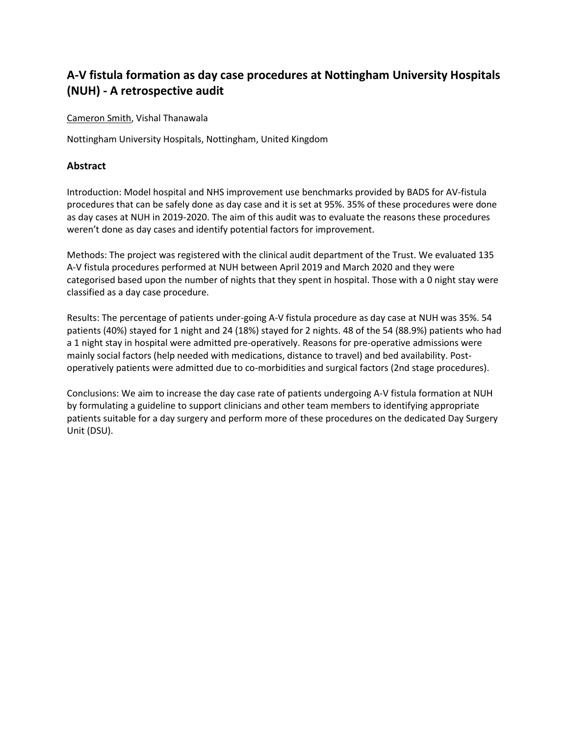# **A-V fistula formation as day case procedures at Nottingham University Hospitals (NUH) - A retrospective audit**

Cameron Smith, Vishal Thanawala

Nottingham University Hospitals, Nottingham, United Kingdom

### **Abstract**

Introduction: Model hospital and NHS improvement use benchmarks provided by BADS for AV-fistula procedures that can be safely done as day case and it is set at 95%. 35% of these procedures were done as day cases at NUH in 2019-2020. The aim of this audit was to evaluate the reasons these procedures weren't done as day cases and identify potential factors for improvement.

Methods: The project was registered with the clinical audit department of the Trust. We evaluated 135 A-V fistula procedures performed at NUH between April 2019 and March 2020 and they were categorised based upon the number of nights that they spent in hospital. Those with a 0 night stay were classified as a day case procedure.

Results: The percentage of patients under-going A-V fistula procedure as day case at NUH was 35%. 54 patients (40%) stayed for 1 night and 24 (18%) stayed for 2 nights. 48 of the 54 (88.9%) patients who had a 1 night stay in hospital were admitted pre-operatively. Reasons for pre-operative admissions were mainly social factors (help needed with medications, distance to travel) and bed availability. Postoperatively patients were admitted due to co-morbidities and surgical factors (2nd stage procedures).

Conclusions: We aim to increase the day case rate of patients undergoing A-V fistula formation at NUH by formulating a guideline to support clinicians and other team members to identifying appropriate patients suitable for a day surgery and perform more of these procedures on the dedicated Day Surgery Unit (DSU).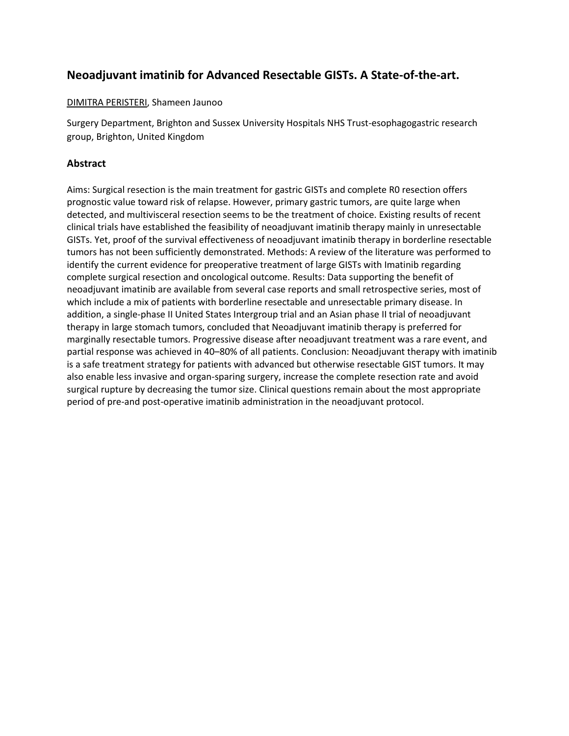## **Neoadjuvant imatinib for Advanced Resectable GISTs. A State-of-the-art.**

#### DIMITRA PERISTERI, Shameen Jaunoo

Surgery Department, Brighton and Sussex University Hospitals NHS Trust-esophagogastric research group, Brighton, United Kingdom

## **Abstract**

Aims: Surgical resection is the main treatment for gastric GISTs and complete R0 resection offers prognostic value toward risk of relapse. However, primary gastric tumors, are quite large when detected, and multivisceral resection seems to be the treatment of choice. Existing results of recent clinical trials have established the feasibility of neoadjuvant imatinib therapy mainly in unresectable GISTs. Yet, proof of the survival effectiveness of neoadjuvant imatinib therapy in borderline resectable tumors has not been sufficiently demonstrated. Methods: A review of the literature was performed to identify the current evidence for preoperative treatment of large GISTs with Imatinib regarding complete surgical resection and oncological outcome. Results: Data supporting the benefit of neoadjuvant imatinib are available from several case reports and small retrospective series, most of which include a mix of patients with borderline resectable and unresectable primary disease. In addition, a single-phase II United States Intergroup trial and an Asian phase II trial of neoadjuvant therapy in large stomach tumors, concluded that Neoadjuvant imatinib therapy is preferred for marginally resectable tumors. Progressive disease after neoadjuvant treatment was a rare event, and partial response was achieved in 40–80% of all patients. Conclusion: Neoadjuvant therapy with imatinib is a safe treatment strategy for patients with advanced but otherwise resectable GIST tumors. It may also enable less invasive and organ-sparing surgery, increase the complete resection rate and avoid surgical rupture by decreasing the tumor size. Clinical questions remain about the most appropriate period of pre-and post-operative imatinib administration in the neoadjuvant protocol.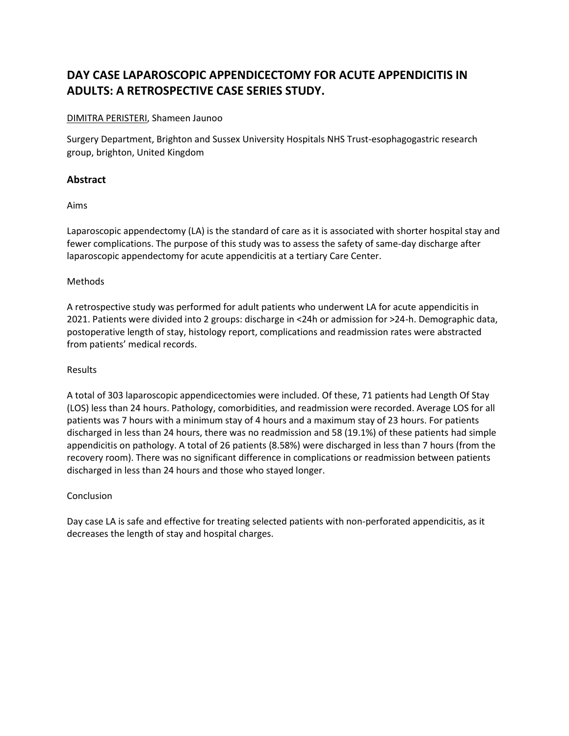# **DAY CASE LAPAROSCOPIC APPENDICECTOMY FOR ACUTE APPENDICITIS IN ADULTS: A RETROSPECTIVE CASE SERIES STUDY.**

#### DIMITRA PERISTERI, Shameen Jaunoo

Surgery Department, Brighton and Sussex University Hospitals NHS Trust-esophagogastric research group, brighton, United Kingdom

## **Abstract**

Aims

Laparoscopic appendectomy (LA) is the standard of care as it is associated with shorter hospital stay and fewer complications. The purpose of this study was to assess the safety of same-day discharge after laparoscopic appendectomy for acute appendicitis at a tertiary Care Center.

#### Methods

A retrospective study was performed for adult patients who underwent LA for acute appendicitis in 2021. Patients were divided into 2 groups: discharge in <24h or admission for >24-h. Demographic data, postoperative length of stay, histology report, complications and readmission rates were abstracted from patients' medical records.

#### Results

A total of 303 laparoscopic appendicectomies were included. Of these, 71 patients had Length Of Stay (LOS) less than 24 hours. Pathology, comorbidities, and readmission were recorded. Average LOS for all patients was 7 hours with a minimum stay of 4 hours and a maximum stay of 23 hours. For patients discharged in less than 24 hours, there was no readmission and 58 (19.1%) of these patients had simple appendicitis on pathology. A total of 26 patients (8.58%) were discharged in less than 7 hours (from the recovery room). There was no significant difference in complications or readmission between patients discharged in less than 24 hours and those who stayed longer.

## Conclusion

Day case LA is safe and effective for treating selected patients with non-perforated appendicitis, as it decreases the length of stay and hospital charges.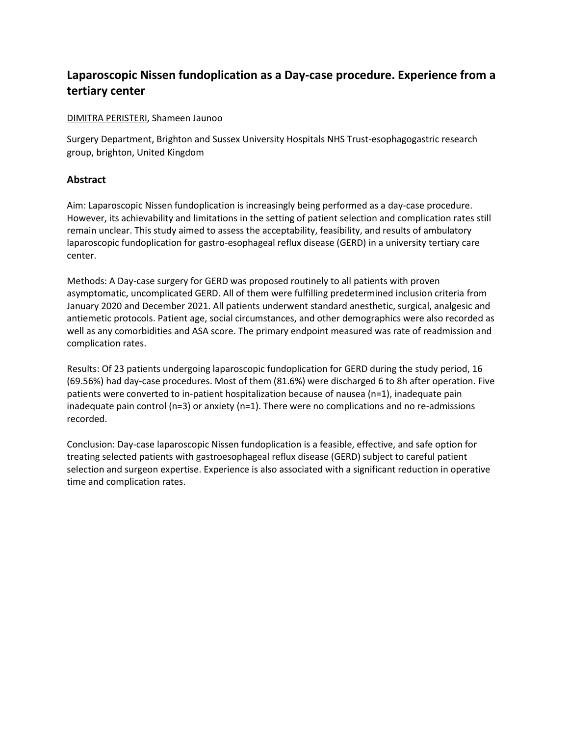## **Laparoscopic Nissen fundoplication as a Day-case procedure. Experience from a tertiary center**

#### DIMITRA PERISTERI, Shameen Jaunoo

Surgery Department, Brighton and Sussex University Hospitals NHS Trust-esophagogastric research group, brighton, United Kingdom

## **Abstract**

Aim: Laparoscopic Nissen fundoplication is increasingly being performed as a day-case procedure. However, its achievability and limitations in the setting of patient selection and complication rates still remain unclear. This study aimed to assess the acceptability, feasibility, and results of ambulatory laparoscopic fundoplication for gastro-esophageal reflux disease (GERD) in a university tertiary care center.

Methods: A Day-case surgery for GERD was proposed routinely to all patients with proven asymptomatic, uncomplicated GERD. All of them were fulfilling predetermined inclusion criteria from January 2020 and December 2021. All patients underwent standard anesthetic, surgical, analgesic and antiemetic protocols. Patient age, social circumstances, and other demographics were also recorded as well as any comorbidities and ASA score. The primary endpoint measured was rate of readmission and complication rates.

Results: Of 23 patients undergoing laparoscopic fundoplication for GERD during the study period, 16 (69.56%) had day-case procedures. Most of them (81.6%) were discharged 6 to 8h after operation. Five patients were converted to in-patient hospitalization because of nausea (n=1), inadequate pain inadequate pain control ( $n=3$ ) or anxiety ( $n=1$ ). There were no complications and no re-admissions recorded.

Conclusion: Day-case laparoscopic Nissen fundoplication is a feasible, effective, and safe option for treating selected patients with gastroesophageal reflux disease (GERD) subject to careful patient selection and surgeon expertise. Experience is also associated with a significant reduction in operative time and complication rates.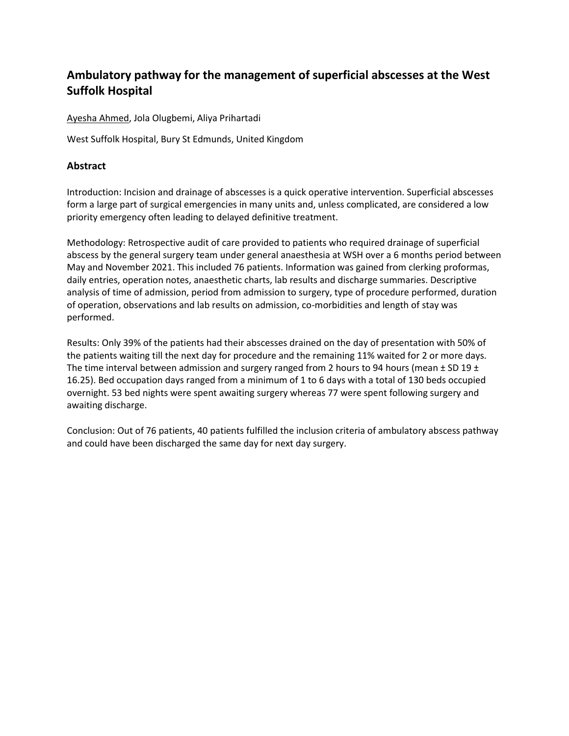# **Ambulatory pathway for the management of superficial abscesses at the West Suffolk Hospital**

Ayesha Ahmed, Jola Olugbemi, Aliya Prihartadi

West Suffolk Hospital, Bury St Edmunds, United Kingdom

## **Abstract**

Introduction: Incision and drainage of abscesses is a quick operative intervention. Superficial abscesses form a large part of surgical emergencies in many units and, unless complicated, are considered a low priority emergency often leading to delayed definitive treatment.

Methodology: Retrospective audit of care provided to patients who required drainage of superficial abscess by the general surgery team under general anaesthesia at WSH over a 6 months period between May and November 2021. This included 76 patients. Information was gained from clerking proformas, daily entries, operation notes, anaesthetic charts, lab results and discharge summaries. Descriptive analysis of time of admission, period from admission to surgery, type of procedure performed, duration of operation, observations and lab results on admission, co-morbidities and length of stay was performed.

Results: Only 39% of the patients had their abscesses drained on the day of presentation with 50% of the patients waiting till the next day for procedure and the remaining 11% waited for 2 or more days. The time interval between admission and surgery ranged from 2 hours to 94 hours (mean  $\pm$  SD 19  $\pm$ 16.25). Bed occupation days ranged from a minimum of 1 to 6 days with a total of 130 beds occupied overnight. 53 bed nights were spent awaiting surgery whereas 77 were spent following surgery and awaiting discharge.

Conclusion: Out of 76 patients, 40 patients fulfilled the inclusion criteria of ambulatory abscess pathway and could have been discharged the same day for next day surgery.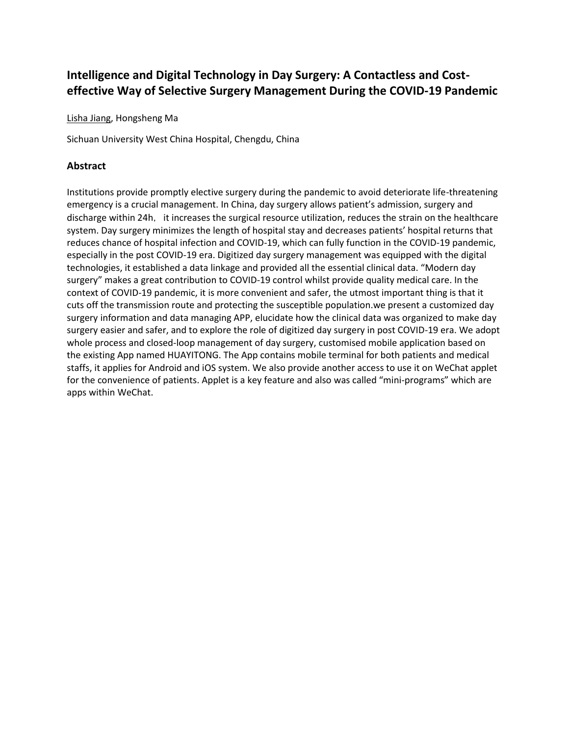## **Intelligence and Digital Technology in Day Surgery: A Contactless and Costeffective Way of Selective Surgery Management During the COVID-19 Pandemic**

Lisha Jiang, Hongsheng Ma

Sichuan University West China Hospital, Chengdu, China

## **Abstract**

Institutions provide promptly elective surgery during the pandemic to avoid deteriorate life-threatening emergency is a crucial management. In China, day surgery allows patient's admission, surgery and discharge within 24h, it increases the surgical resource utilization, reduces the strain on the healthcare system. Day surgery minimizes the length of hospital stay and decreases patients' hospital returns that reduces chance of hospital infection and COVID-19, which can fully function in the COVID-19 pandemic, especially in the post COVID-19 era. Digitized day surgery management was equipped with the digital technologies, it established a data linkage and provided all the essential clinical data. "Modern day surgery" makes a great contribution to COVID-19 control whilst provide quality medical care. In the context of COVID-19 pandemic, it is more convenient and safer, the utmost important thing is that it cuts off the transmission route and protecting the susceptible population.we present a customized day surgery information and data managing APP, elucidate how the clinical data was organized to make day surgery easier and safer, and to explore the role of digitized day surgery in post COVID-19 era. We adopt whole process and closed-loop management of day surgery, customised mobile application based on the existing App named HUAYITONG. The App contains mobile terminal for both patients and medical staffs, it applies for Android and iOS system. We also provide another access to use it on WeChat applet for the convenience of patients. Applet is a key feature and also was called "mini-programs" which are apps within WeChat.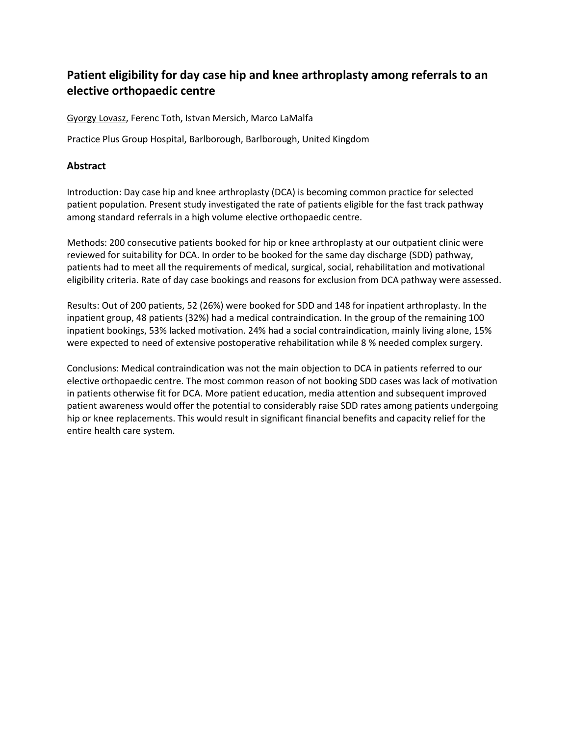## **Patient eligibility for day case hip and knee arthroplasty among referrals to an elective orthopaedic centre**

Gyorgy Lovasz, Ferenc Toth, Istvan Mersich, Marco LaMalfa

Practice Plus Group Hospital, Barlborough, Barlborough, United Kingdom

## **Abstract**

Introduction: Day case hip and knee arthroplasty (DCA) is becoming common practice for selected patient population. Present study investigated the rate of patients eligible for the fast track pathway among standard referrals in a high volume elective orthopaedic centre.

Methods: 200 consecutive patients booked for hip or knee arthroplasty at our outpatient clinic were reviewed for suitability for DCA. In order to be booked for the same day discharge (SDD) pathway, patients had to meet all the requirements of medical, surgical, social, rehabilitation and motivational eligibility criteria. Rate of day case bookings and reasons for exclusion from DCA pathway were assessed.

Results: Out of 200 patients, 52 (26%) were booked for SDD and 148 for inpatient arthroplasty. In the inpatient group, 48 patients (32%) had a medical contraindication. In the group of the remaining 100 inpatient bookings, 53% lacked motivation. 24% had a social contraindication, mainly living alone, 15% were expected to need of extensive postoperative rehabilitation while 8 % needed complex surgery.

Conclusions: Medical contraindication was not the main objection to DCA in patients referred to our elective orthopaedic centre. The most common reason of not booking SDD cases was lack of motivation in patients otherwise fit for DCA. More patient education, media attention and subsequent improved patient awareness would offer the potential to considerably raise SDD rates among patients undergoing hip or knee replacements. This would result in significant financial benefits and capacity relief for the entire health care system.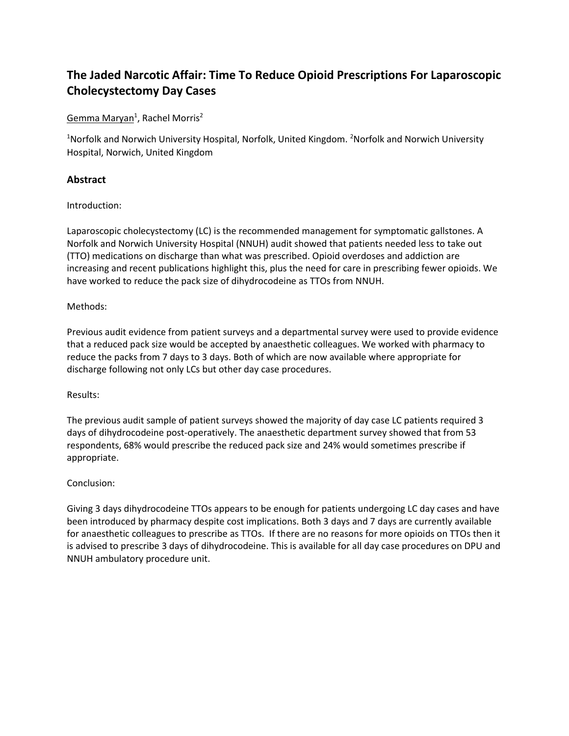# **The Jaded Narcotic Affair: Time To Reduce Opioid Prescriptions For Laparoscopic Cholecystectomy Day Cases**

## Gemma Maryan<sup>1</sup>, Rachel Morris<sup>2</sup>

<sup>1</sup>Norfolk and Norwich University Hospital, Norfolk, United Kingdom. <sup>2</sup>Norfolk and Norwich University Hospital, Norwich, United Kingdom

## **Abstract**

#### Introduction:

Laparoscopic cholecystectomy (LC) is the recommended management for symptomatic gallstones. A Norfolk and Norwich University Hospital (NNUH) audit showed that patients needed less to take out (TTO) medications on discharge than what was prescribed. Opioid overdoses and addiction are increasing and recent publications highlight this, plus the need for care in prescribing fewer opioids. We have worked to reduce the pack size of dihydrocodeine as TTOs from NNUH.

#### Methods:

Previous audit evidence from patient surveys and a departmental survey were used to provide evidence that a reduced pack size would be accepted by anaesthetic colleagues. We worked with pharmacy to reduce the packs from 7 days to 3 days. Both of which are now available where appropriate for discharge following not only LCs but other day case procedures.

#### Results:

The previous audit sample of patient surveys showed the majority of day case LC patients required 3 days of dihydrocodeine post-operatively. The anaesthetic department survey showed that from 53 respondents, 68% would prescribe the reduced pack size and 24% would sometimes prescribe if appropriate.

#### Conclusion:

Giving 3 days dihydrocodeine TTOs appears to be enough for patients undergoing LC day cases and have been introduced by pharmacy despite cost implications. Both 3 days and 7 days are currently available for anaesthetic colleagues to prescribe as TTOs. If there are no reasons for more opioids on TTOs then it is advised to prescribe 3 days of dihydrocodeine. This is available for all day case procedures on DPU and NNUH ambulatory procedure unit.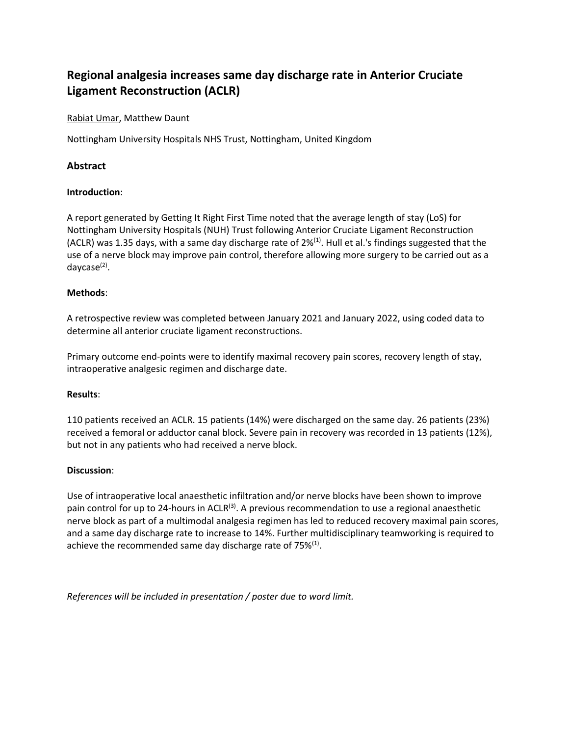# **Regional analgesia increases same day discharge rate in Anterior Cruciate Ligament Reconstruction (ACLR)**

Rabiat Umar, Matthew Daunt

Nottingham University Hospitals NHS Trust, Nottingham, United Kingdom

## **Abstract**

#### **Introduction**:

A report generated by Getting It Right First Time noted that the average length of stay (LoS) for Nottingham University Hospitals (NUH) Trust following Anterior Cruciate Ligament Reconstruction (ACLR) was 1.35 days, with a same day discharge rate of 2%<sup>(1)</sup>. Hull et al.'s findings suggested that the use of a nerve block may improve pain control, therefore allowing more surgery to be carried out as a daycase<sup>(2)</sup>.

#### **Methods**:

A retrospective review was completed between January 2021 and January 2022, using coded data to determine all anterior cruciate ligament reconstructions.

Primary outcome end-points were to identify maximal recovery pain scores, recovery length of stay, intraoperative analgesic regimen and discharge date.

#### **Results**:

110 patients received an ACLR. 15 patients (14%) were discharged on the same day. 26 patients (23%) received a femoral or adductor canal block. Severe pain in recovery was recorded in 13 patients (12%), but not in any patients who had received a nerve block.

#### **Discussion**:

Use of intraoperative local anaesthetic infiltration and/or nerve blocks have been shown to improve pain control for up to 24-hours in  $ACLR<sup>(3)</sup>$ . A previous recommendation to use a regional anaesthetic nerve block as part of a multimodal analgesia regimen has led to reduced recovery maximal pain scores, and a same day discharge rate to increase to 14%. Further multidisciplinary teamworking is required to achieve the recommended same day discharge rate of 75% $(1)$ .

*References will be included in presentation / poster due to word limit.*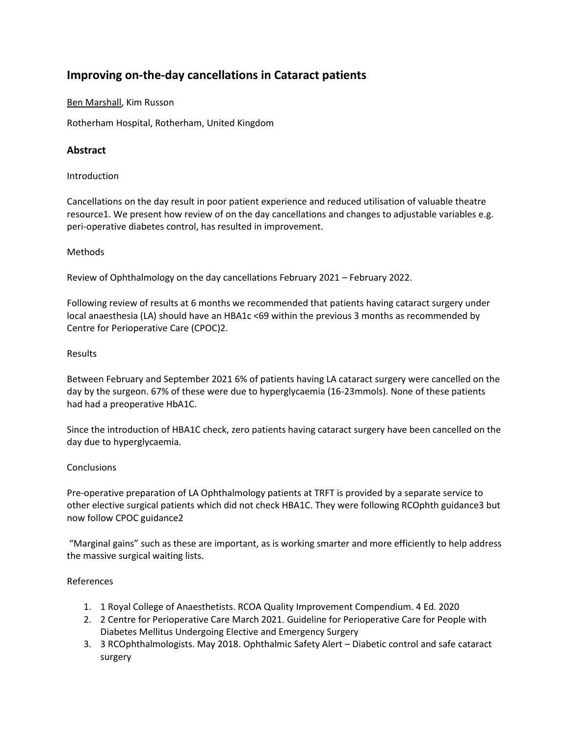## **Improving on-the-day cancellations in Cataract patients**

Ben Marshall, Kim Russon

Rotherham Hospital, Rotherham, United Kingdom

## **Abstract**

#### Introduction

Cancellations on the day result in poor patient experience and reduced utilisation of valuable theatre resource1. We present how review of on the day cancellations and changes to adjustable variables e.g. peri-operative diabetes control, has resulted in improvement.

#### Methods

Review of Ophthalmology on the day cancellations February 2021 – February 2022.

Following review of results at 6 months we recommended that patients having cataract surgery under local anaesthesia (LA) should have an HBA1c <69 within the previous 3 months as recommended by Centre for Perioperative Care (CPOC)2.

#### Results

Between February and September 2021 6% of patients having LA cataract surgery were cancelled on the day by the surgeon. 67% of these were due to hyperglycaemia (16-23mmols). None of these patients had had a preoperative HbA1C.

Since the introduction of HBA1C check, zero patients having cataract surgery have been cancelled on the day due to hyperglycaemia.

#### Conclusions

Pre-operative preparation of LA Ophthalmology patients at TRFT is provided by a separate service to other elective surgical patients which did not check HBA1C. They were following RCOphth guidance3 but now follow CPOC guidance2

"Marginal gains" such as these are important, as is working smarter and more efficiently to help address the massive surgical waiting lists.

#### References

- 1. 1 Royal College of Anaesthetists. RCOA Quality Improvement Compendium. 4 Ed. 2020
- 2. 2 Centre for Perioperative Care March 2021. Guideline for Perioperative Care for People with Diabetes Mellitus Undergoing Elective and Emergency Surgery
- 3. 3 RCOphthalmologists. May 2018. Ophthalmic Safety Alert Diabetic control and safe cataract surgery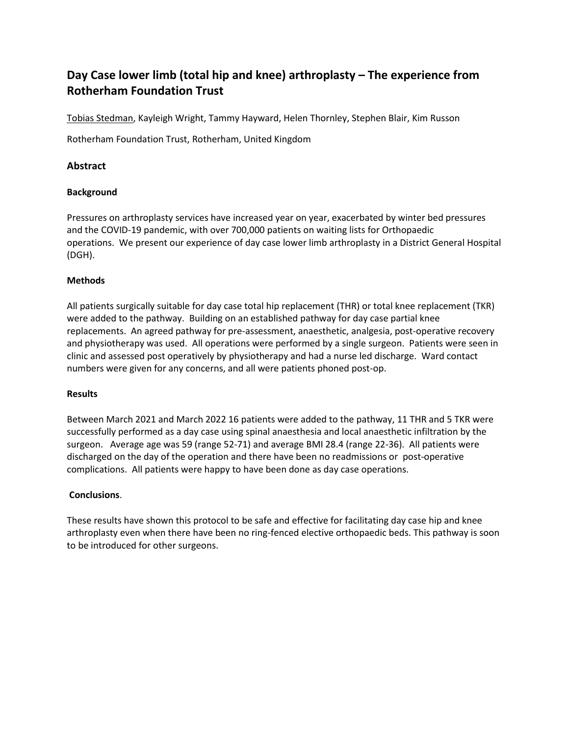# **Day Case lower limb (total hip and knee) arthroplasty – The experience from Rotherham Foundation Trust**

Tobias Stedman, Kayleigh Wright, Tammy Hayward, Helen Thornley, Stephen Blair, Kim Russon

Rotherham Foundation Trust, Rotherham, United Kingdom

### **Abstract**

#### **Background**

Pressures on arthroplasty services have increased year on year, exacerbated by winter bed pressures and the COVID-19 pandemic, with over 700,000 patients on waiting lists for Orthopaedic operations. We present our experience of day case lower limb arthroplasty in a District General Hospital (DGH).

#### **Methods**

All patients surgically suitable for day case total hip replacement (THR) or total knee replacement (TKR) were added to the pathway. Building on an established pathway for day case partial knee replacements. An agreed pathway for pre-assessment, anaesthetic, analgesia, post-operative recovery and physiotherapy was used. All operations were performed by a single surgeon. Patients were seen in clinic and assessed post operatively by physiotherapy and had a nurse led discharge. Ward contact numbers were given for any concerns, and all were patients phoned post-op.

#### **Results**

Between March 2021 and March 2022 16 patients were added to the pathway, 11 THR and 5 TKR were successfully performed as a day case using spinal anaesthesia and local anaesthetic infiltration by the surgeon. Average age was 59 (range 52-71) and average BMI 28.4 (range 22-36). All patients were discharged on the day of the operation and there have been no readmissions or post-operative complications. All patients were happy to have been done as day case operations.

#### **Conclusions**.

These results have shown this protocol to be safe and effective for facilitating day case hip and knee arthroplasty even when there have been no ring-fenced elective orthopaedic beds. This pathway is soon to be introduced for other surgeons.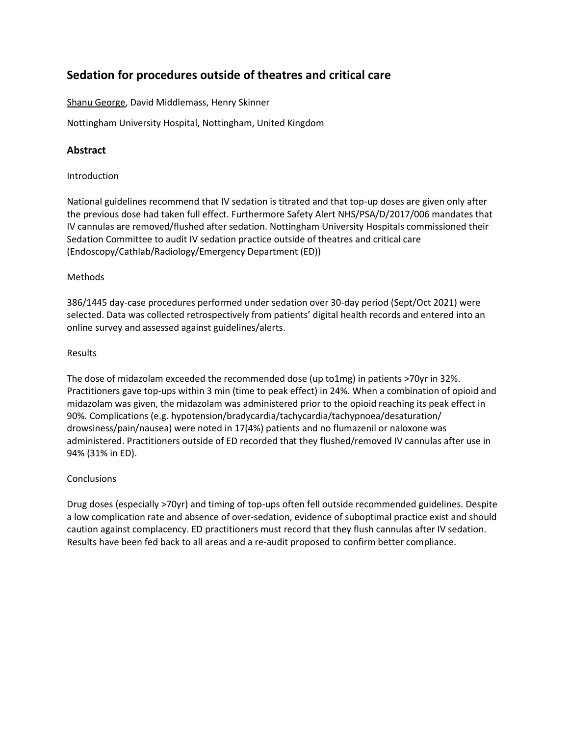## **Sedation for procedures outside of theatres and critical care**

Shanu George, David Middlemass, Henry Skinner

Nottingham University Hospital, Nottingham, United Kingdom

## **Abstract**

#### Introduction

National guidelines recommend that IV sedation is titrated and that top-up doses are given only after the previous dose had taken full effect. Furthermore Safety Alert NHS/PSA/D/2017/006 mandates that IV cannulas are removed/flushed after sedation. Nottingham University Hospitals commissioned their Sedation Committee to audit IV sedation practice outside of theatres and critical care (Endoscopy/Cathlab/Radiology/Emergency Department (ED))

#### Methods

386/1445 day-case procedures performed under sedation over 30-day period (Sept/Oct 2021) were selected. Data was collected retrospectively from patients' digital health records and entered into an online survey and assessed against guidelines/alerts.

#### Results

The dose of midazolam exceeded the recommended dose (up to1mg) in patients >70yr in 32%. Practitioners gave top-ups within 3 min (time to peak effect) in 24%. When a combination of opioid and midazolam was given, the midazolam was administered prior to the opioid reaching its peak effect in 90%. Complications (e.g. hypotension/bradycardia/tachycardia/tachypnoea/desaturation/ drowsiness/pain/nausea) were noted in 17(4%) patients and no flumazenil or naloxone was administered. Practitioners outside of ED recorded that they flushed/removed IV cannulas after use in 94% (31% in ED).

#### **Conclusions**

Drug doses (especially >70yr) and timing of top-ups often fell outside recommended guidelines. Despite a low complication rate and absence of over-sedation, evidence of suboptimal practice exist and should caution against complacency. ED practitioners must record that they flush cannulas after IV sedation. Results have been fed back to all areas and a re-audit proposed to confirm better compliance.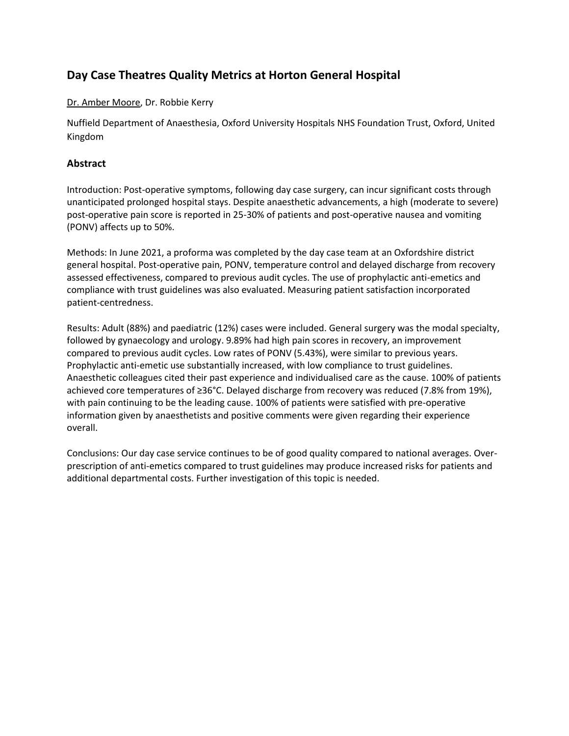## **Day Case Theatres Quality Metrics at Horton General Hospital**

## Dr. Amber Moore, Dr. Robbie Kerry

Nuffield Department of Anaesthesia, Oxford University Hospitals NHS Foundation Trust, Oxford, United Kingdom

## **Abstract**

Introduction: Post-operative symptoms, following day case surgery, can incur significant costs through unanticipated prolonged hospital stays. Despite anaesthetic advancements, a high (moderate to severe) post-operative pain score is reported in 25-30% of patients and post-operative nausea and vomiting (PONV) affects up to 50%.

Methods: In June 2021, a proforma was completed by the day case team at an Oxfordshire district general hospital. Post-operative pain, PONV, temperature control and delayed discharge from recovery assessed effectiveness, compared to previous audit cycles. The use of prophylactic anti-emetics and compliance with trust guidelines was also evaluated. Measuring patient satisfaction incorporated patient-centredness.

Results: Adult (88%) and paediatric (12%) cases were included. General surgery was the modal specialty, followed by gynaecology and urology. 9.89% had high pain scores in recovery, an improvement compared to previous audit cycles. Low rates of PONV (5.43%), were similar to previous years. Prophylactic anti-emetic use substantially increased, with low compliance to trust guidelines. Anaesthetic colleagues cited their past experience and individualised care as the cause. 100% of patients achieved core temperatures of ≥36°C. Delayed discharge from recovery was reduced (7.8% from 19%), with pain continuing to be the leading cause. 100% of patients were satisfied with pre-operative information given by anaesthetists and positive comments were given regarding their experience overall.

Conclusions: Our day case service continues to be of good quality compared to national averages. Overprescription of anti-emetics compared to trust guidelines may produce increased risks for patients and additional departmental costs. Further investigation of this topic is needed.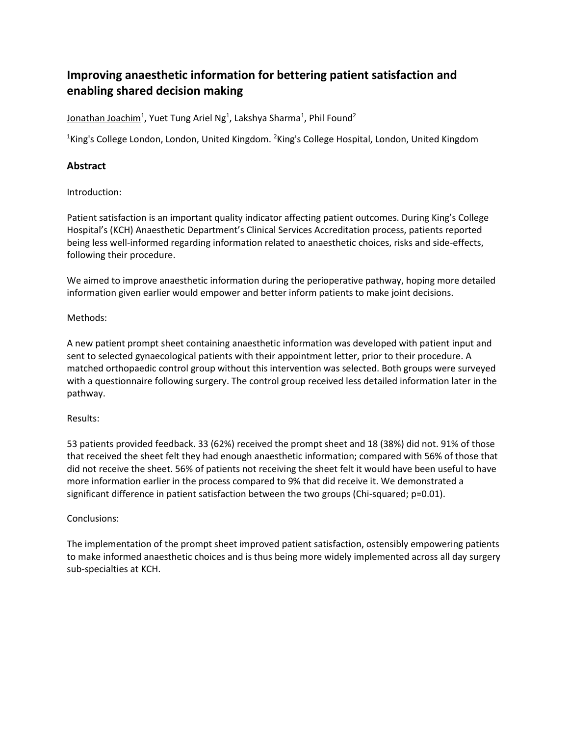# **Improving anaesthetic information for bettering patient satisfaction and enabling shared decision making**

Jonathan Joachim<sup>1</sup>, Yuet Tung Ariel Ng<sup>1</sup>, Lakshya Sharma<sup>1</sup>, Phil Found<sup>2</sup>

<sup>1</sup>King's College London, London, United Kingdom. <sup>2</sup>King's College Hospital, London, United Kingdom

## **Abstract**

Introduction:

Patient satisfaction is an important quality indicator affecting patient outcomes. During King's College Hospital's (KCH) Anaesthetic Department's Clinical Services Accreditation process, patients reported being less well-informed regarding information related to anaesthetic choices, risks and side-effects, following their procedure.

We aimed to improve anaesthetic information during the perioperative pathway, hoping more detailed information given earlier would empower and better inform patients to make joint decisions.

#### Methods:

A new patient prompt sheet containing anaesthetic information was developed with patient input and sent to selected gynaecological patients with their appointment letter, prior to their procedure. A matched orthopaedic control group without this intervention was selected. Both groups were surveyed with a questionnaire following surgery. The control group received less detailed information later in the pathway.

#### Results:

53 patients provided feedback. 33 (62%) received the prompt sheet and 18 (38%) did not. 91% of those that received the sheet felt they had enough anaesthetic information; compared with 56% of those that did not receive the sheet. 56% of patients not receiving the sheet felt it would have been useful to have more information earlier in the process compared to 9% that did receive it. We demonstrated a significant difference in patient satisfaction between the two groups (Chi-squared; p=0.01).

#### Conclusions:

The implementation of the prompt sheet improved patient satisfaction, ostensibly empowering patients to make informed anaesthetic choices and is thus being more widely implemented across all day surgery sub-specialties at KCH.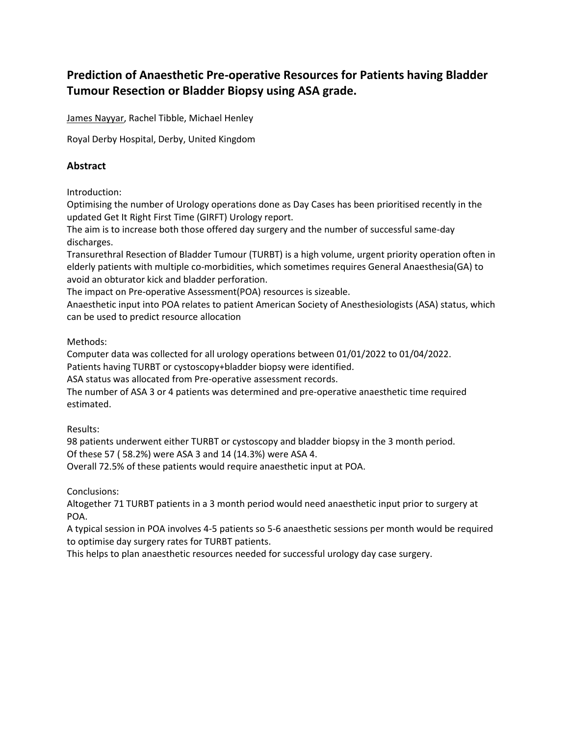# **Prediction of Anaesthetic Pre-operative Resources for Patients having Bladder Tumour Resection or Bladder Biopsy using ASA grade.**

James Nayyar, Rachel Tibble, Michael Henley

Royal Derby Hospital, Derby, United Kingdom

## **Abstract**

Introduction:

Optimising the number of Urology operations done as Day Cases has been prioritised recently in the updated Get It Right First Time (GIRFT) Urology report.

The aim is to increase both those offered day surgery and the number of successful same-day discharges.

Transurethral Resection of Bladder Tumour (TURBT) is a high volume, urgent priority operation often in elderly patients with multiple co-morbidities, which sometimes requires General Anaesthesia(GA) to avoid an obturator kick and bladder perforation.

The impact on Pre-operative Assessment(POA) resources is sizeable.

Anaesthetic input into POA relates to patient American Society of Anesthesiologists (ASA) status, which can be used to predict resource allocation

Methods:

Computer data was collected for all urology operations between 01/01/2022 to 01/04/2022.

Patients having TURBT or cystoscopy+bladder biopsy were identified.

ASA status was allocated from Pre-operative assessment records.

The number of ASA 3 or 4 patients was determined and pre-operative anaesthetic time required estimated.

Results:

98 patients underwent either TURBT or cystoscopy and bladder biopsy in the 3 month period. Of these 57 ( 58.2%) were ASA 3 and 14 (14.3%) were ASA 4.

Overall 72.5% of these patients would require anaesthetic input at POA.

Conclusions:

Altogether 71 TURBT patients in a 3 month period would need anaesthetic input prior to surgery at POA.

A typical session in POA involves 4-5 patients so 5-6 anaesthetic sessions per month would be required to optimise day surgery rates for TURBT patients.

This helps to plan anaesthetic resources needed for successful urology day case surgery.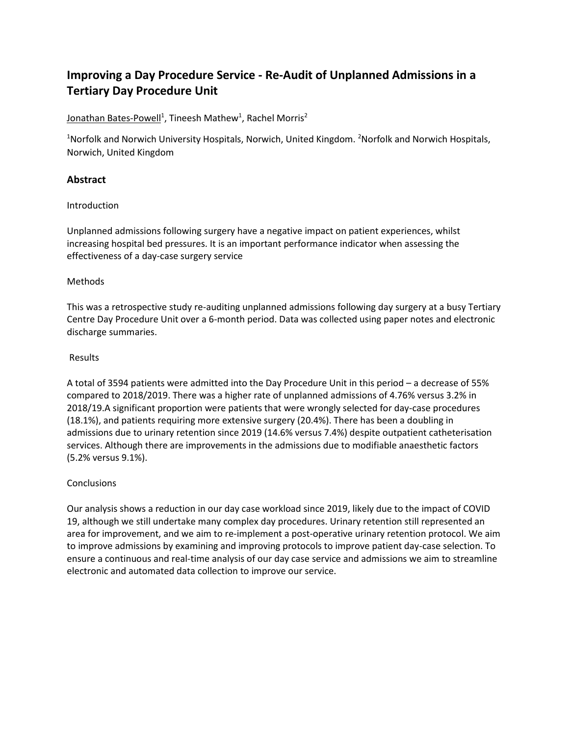# **Improving a Day Procedure Service - Re-Audit of Unplanned Admissions in a Tertiary Day Procedure Unit**

## Jonathan Bates-Powell<sup>1</sup>, Tineesh Mathew<sup>1</sup>, Rachel Morris<sup>2</sup>

<sup>1</sup>Norfolk and Norwich University Hospitals, Norwich, United Kingdom. <sup>2</sup>Norfolk and Norwich Hospitals, Norwich, United Kingdom

## **Abstract**

#### Introduction

Unplanned admissions following surgery have a negative impact on patient experiences, whilst increasing hospital bed pressures. It is an important performance indicator when assessing the effectiveness of a day-case surgery service

#### Methods

This was a retrospective study re-auditing unplanned admissions following day surgery at a busy Tertiary Centre Day Procedure Unit over a 6-month period. Data was collected using paper notes and electronic discharge summaries.

#### Results

A total of 3594 patients were admitted into the Day Procedure Unit in this period – a decrease of 55% compared to 2018/2019. There was a higher rate of unplanned admissions of 4.76% versus 3.2% in 2018/19.A significant proportion were patients that were wrongly selected for day-case procedures (18.1%), and patients requiring more extensive surgery (20.4%). There has been a doubling in admissions due to urinary retention since 2019 (14.6% versus 7.4%) despite outpatient catheterisation services. Although there are improvements in the admissions due to modifiable anaesthetic factors (5.2% versus 9.1%).

## **Conclusions**

Our analysis shows a reduction in our day case workload since 2019, likely due to the impact of COVID 19, although we still undertake many complex day procedures. Urinary retention still represented an area for improvement, and we aim to re-implement a post-operative urinary retention protocol. We aim to improve admissions by examining and improving protocols to improve patient day-case selection. To ensure a continuous and real-time analysis of our day case service and admissions we aim to streamline electronic and automated data collection to improve our service.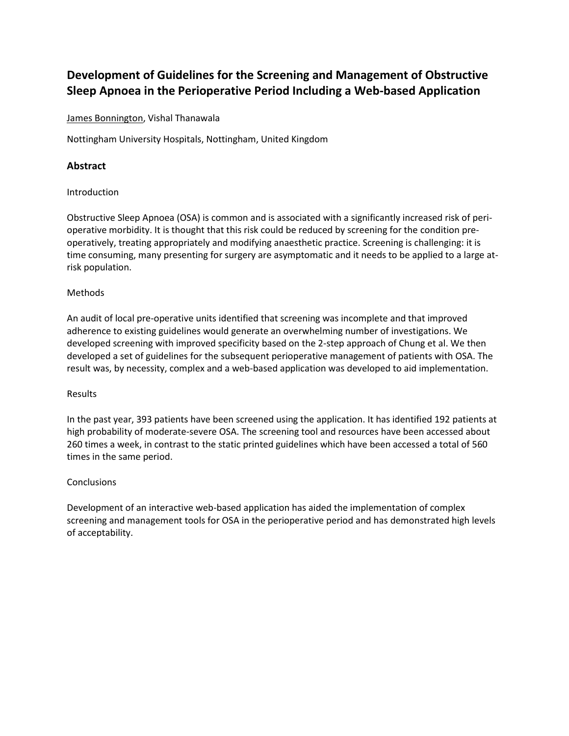# **Development of Guidelines for the Screening and Management of Obstructive Sleep Apnoea in the Perioperative Period Including a Web-based Application**

#### James Bonnington, Vishal Thanawala

Nottingham University Hospitals, Nottingham, United Kingdom

## **Abstract**

#### **Introduction**

Obstructive Sleep Apnoea (OSA) is common and is associated with a significantly increased risk of perioperative morbidity. It is thought that this risk could be reduced by screening for the condition preoperatively, treating appropriately and modifying anaesthetic practice. Screening is challenging: it is time consuming, many presenting for surgery are asymptomatic and it needs to be applied to a large atrisk population.

#### Methods

An audit of local pre-operative units identified that screening was incomplete and that improved adherence to existing guidelines would generate an overwhelming number of investigations. We developed screening with improved specificity based on the 2-step approach of Chung et al. We then developed a set of guidelines for the subsequent perioperative management of patients with OSA. The result was, by necessity, complex and a web-based application was developed to aid implementation.

#### Results

In the past year, 393 patients have been screened using the application. It has identified 192 patients at high probability of moderate-severe OSA. The screening tool and resources have been accessed about 260 times a week, in contrast to the static printed guidelines which have been accessed a total of 560 times in the same period.

#### **Conclusions**

Development of an interactive web-based application has aided the implementation of complex screening and management tools for OSA in the perioperative period and has demonstrated high levels of acceptability.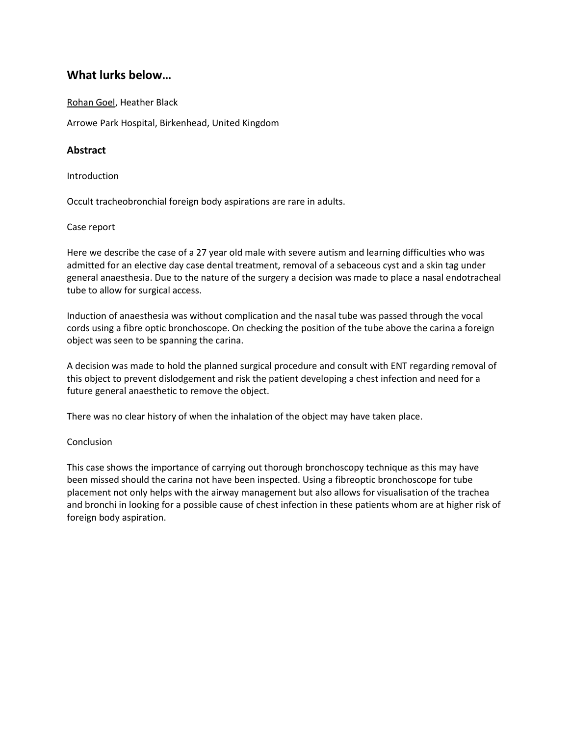## **What lurks below…**

Rohan Goel, Heather Black

Arrowe Park Hospital, Birkenhead, United Kingdom

## **Abstract**

Introduction

Occult tracheobronchial foreign body aspirations are rare in adults.

#### Case report

Here we describe the case of a 27 year old male with severe autism and learning difficulties who was admitted for an elective day case dental treatment, removal of a sebaceous cyst and a skin tag under general anaesthesia. Due to the nature of the surgery a decision was made to place a nasal endotracheal tube to allow for surgical access.

Induction of anaesthesia was without complication and the nasal tube was passed through the vocal cords using a fibre optic bronchoscope. On checking the position of the tube above the carina a foreign object was seen to be spanning the carina.

A decision was made to hold the planned surgical procedure and consult with ENT regarding removal of this object to prevent dislodgement and risk the patient developing a chest infection and need for a future general anaesthetic to remove the object.

There was no clear history of when the inhalation of the object may have taken place.

#### Conclusion

This case shows the importance of carrying out thorough bronchoscopy technique as this may have been missed should the carina not have been inspected. Using a fibreoptic bronchoscope for tube placement not only helps with the airway management but also allows for visualisation of the trachea and bronchi in looking for a possible cause of chest infection in these patients whom are at higher risk of foreign body aspiration.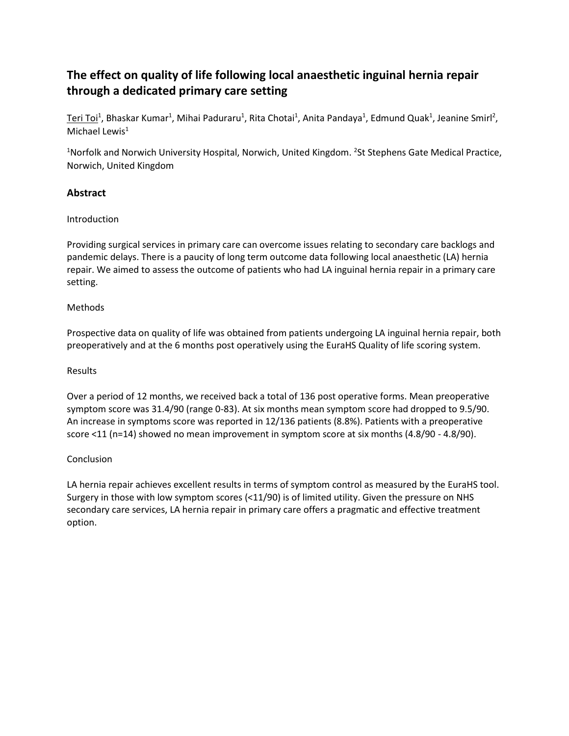# **The effect on quality of life following local anaesthetic inguinal hernia repair through a dedicated primary care setting**

Teri Toi<sup>1</sup>, Bhaskar Kumar<sup>1</sup>, Mihai Paduraru<sup>1</sup>, Rita Chotai<sup>1</sup>, Anita Pandaya<sup>1</sup>, Edmund Quak<sup>1</sup>, Jeanine Smirl<sup>2</sup>, Michael Lewis $<sup>1</sup>$ </sup>

<sup>1</sup>Norfolk and Norwich University Hospital, Norwich, United Kingdom. <sup>2</sup>St Stephens Gate Medical Practice, Norwich, United Kingdom

## **Abstract**

#### Introduction

Providing surgical services in primary care can overcome issues relating to secondary care backlogs and pandemic delays. There is a paucity of long term outcome data following local anaesthetic (LA) hernia repair. We aimed to assess the outcome of patients who had LA inguinal hernia repair in a primary care setting.

## Methods

Prospective data on quality of life was obtained from patients undergoing LA inguinal hernia repair, both preoperatively and at the 6 months post operatively using the EuraHS Quality of life scoring system.

### Results

Over a period of 12 months, we received back a total of 136 post operative forms. Mean preoperative symptom score was 31.4/90 (range 0-83). At six months mean symptom score had dropped to 9.5/90. An increase in symptoms score was reported in 12/136 patients (8.8%). Patients with a preoperative score <11 (n=14) showed no mean improvement in symptom score at six months (4.8/90 - 4.8/90).

## Conclusion

LA hernia repair achieves excellent results in terms of symptom control as measured by the EuraHS tool. Surgery in those with low symptom scores (<11/90) is of limited utility. Given the pressure on NHS secondary care services, LA hernia repair in primary care offers a pragmatic and effective treatment option.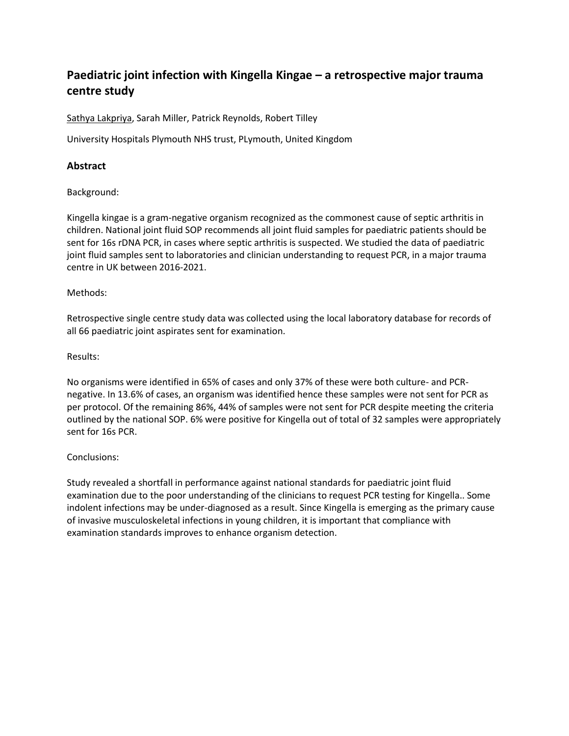# **Paediatric joint infection with Kingella Kingae – a retrospective major trauma centre study**

Sathya Lakpriya, Sarah Miller, Patrick Reynolds, Robert Tilley

University Hospitals Plymouth NHS trust, PLymouth, United Kingdom

## **Abstract**

Background:

Kingella kingae is a gram-negative organism recognized as the commonest cause of septic arthritis in children. National joint fluid SOP recommends all joint fluid samples for paediatric patients should be sent for 16s rDNA PCR, in cases where septic arthritis is suspected. We studied the data of paediatric joint fluid samples sent to laboratories and clinician understanding to request PCR, in a major trauma centre in UK between 2016-2021.

#### Methods:

Retrospective single centre study data was collected using the local laboratory database for records of all 66 paediatric joint aspirates sent for examination.

#### Results:

No organisms were identified in 65% of cases and only 37% of these were both culture- and PCRnegative. In 13.6% of cases, an organism was identified hence these samples were not sent for PCR as per protocol. Of the remaining 86%, 44% of samples were not sent for PCR despite meeting the criteria outlined by the national SOP. 6% were positive for Kingella out of total of 32 samples were appropriately sent for 16s PCR.

#### Conclusions:

Study revealed a shortfall in performance against national standards for paediatric joint fluid examination due to the poor understanding of the clinicians to request PCR testing for Kingella.. Some indolent infections may be under-diagnosed as a result. Since Kingella is emerging as the primary cause of invasive musculoskeletal infections in young children, it is important that compliance with examination standards improves to enhance organism detection.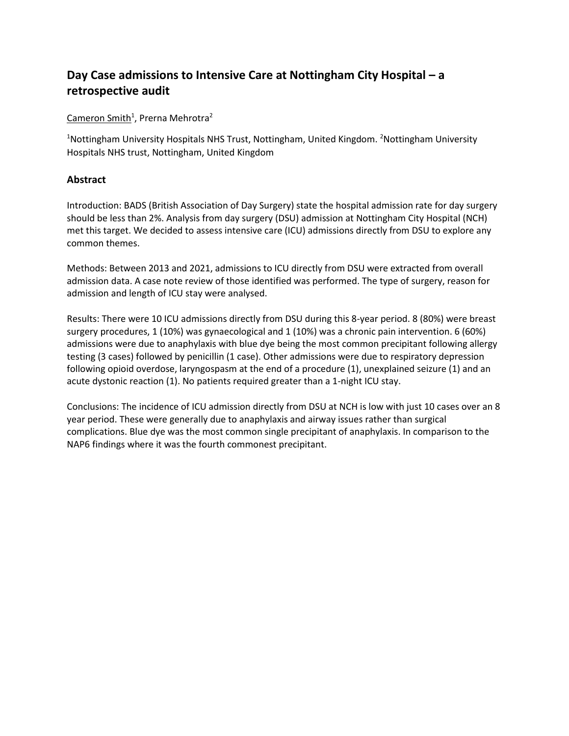# **Day Case admissions to Intensive Care at Nottingham City Hospital – a retrospective audit**

Cameron Smith<sup>1</sup>, Prerna Mehrotra<sup>2</sup>

<sup>1</sup>Nottingham University Hospitals NHS Trust, Nottingham, United Kingdom. <sup>2</sup>Nottingham University Hospitals NHS trust, Nottingham, United Kingdom

## **Abstract**

Introduction: BADS (British Association of Day Surgery) state the hospital admission rate for day surgery should be less than 2%. Analysis from day surgery (DSU) admission at Nottingham City Hospital (NCH) met this target. We decided to assess intensive care (ICU) admissions directly from DSU to explore any common themes.

Methods: Between 2013 and 2021, admissions to ICU directly from DSU were extracted from overall admission data. A case note review of those identified was performed. The type of surgery, reason for admission and length of ICU stay were analysed.

Results: There were 10 ICU admissions directly from DSU during this 8-year period. 8 (80%) were breast surgery procedures, 1 (10%) was gynaecological and 1 (10%) was a chronic pain intervention. 6 (60%) admissions were due to anaphylaxis with blue dye being the most common precipitant following allergy testing (3 cases) followed by penicillin (1 case). Other admissions were due to respiratory depression following opioid overdose, laryngospasm at the end of a procedure (1), unexplained seizure (1) and an acute dystonic reaction (1). No patients required greater than a 1-night ICU stay.

Conclusions: The incidence of ICU admission directly from DSU at NCH is low with just 10 cases over an 8 year period. These were generally due to anaphylaxis and airway issues rather than surgical complications. Blue dye was the most common single precipitant of anaphylaxis. In comparison to the NAP6 findings where it was the fourth commonest precipitant.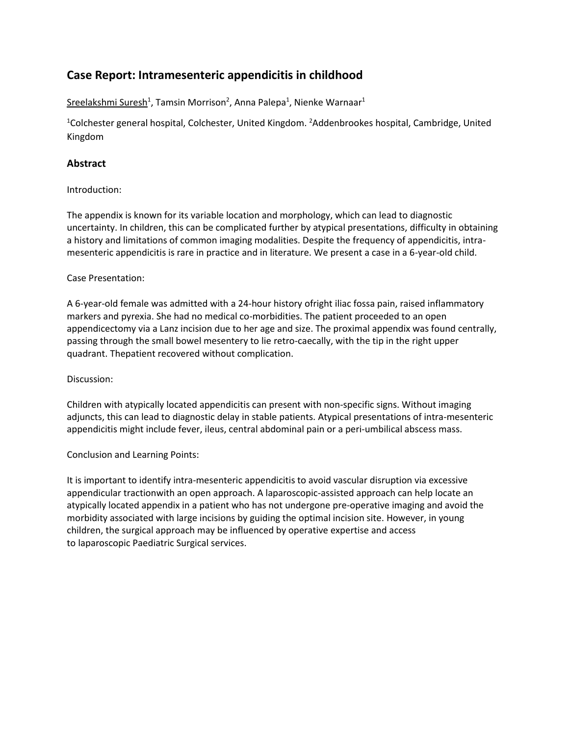## **Case Report: Intramesenteric appendicitis in childhood**

Sreelakshmi Suresh<sup>1</sup>, Tamsin Morrison<sup>2</sup>, Anna Palepa<sup>1</sup>, Nienke Warnaar<sup>1</sup>

<sup>1</sup>Colchester general hospital, Colchester, United Kingdom. <sup>2</sup>Addenbrookes hospital, Cambridge, United Kingdom

## **Abstract**

#### Introduction:

The appendix is known for its variable location and morphology, which can lead to diagnostic uncertainty. In children, this can be complicated further by atypical presentations, difficulty in obtaining a history and limitations of common imaging modalities. Despite the frequency of appendicitis, intramesenteric appendicitis is rare in practice and in literature. We present a case in a 6-year-old child.

#### Case Presentation:

A 6-year-old female was admitted with a 24-hour history ofright iliac fossa pain, raised inflammatory markers and pyrexia. She had no medical co-morbidities. The patient proceeded to an open appendicectomy via a Lanz incision due to her age and size. The proximal appendix was found centrally, passing through the small bowel mesentery to lie retro-caecally, with the tip in the right upper quadrant. Thepatient recovered without complication.

#### Discussion:

Children with atypically located appendicitis can present with non-specific signs. Without imaging adjuncts, this can lead to diagnostic delay in stable patients. Atypical presentations of intra-mesenteric appendicitis might include fever, ileus, central abdominal pain or a peri-umbilical abscess mass.

#### Conclusion and Learning Points:

It is important to identify intra-mesenteric appendicitis to avoid vascular disruption via excessive appendicular tractionwith an open approach. A laparoscopic-assisted approach can help locate an atypically located appendix in a patient who has not undergone pre-operative imaging and avoid the morbidity associated with large incisions by guiding the optimal incision site. However, in young children, the surgical approach may be influenced by operative expertise and access to laparoscopic Paediatric Surgical services.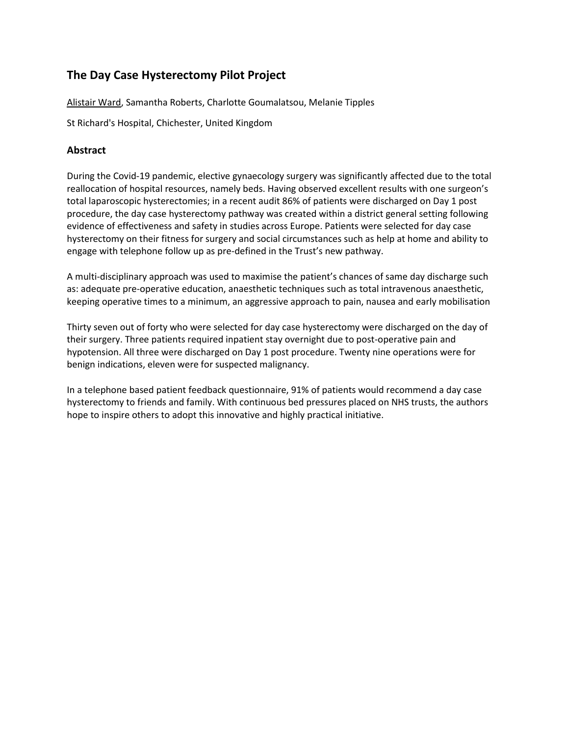## **The Day Case Hysterectomy Pilot Project**

Alistair Ward, Samantha Roberts, Charlotte Goumalatsou, Melanie Tipples

St Richard's Hospital, Chichester, United Kingdom

## **Abstract**

During the Covid-19 pandemic, elective gynaecology surgery was significantly affected due to the total reallocation of hospital resources, namely beds. Having observed excellent results with one surgeon's total laparoscopic hysterectomies; in a recent audit 86% of patients were discharged on Day 1 post procedure, the day case hysterectomy pathway was created within a district general setting following evidence of effectiveness and safety in studies across Europe. Patients were selected for day case hysterectomy on their fitness for surgery and social circumstances such as help at home and ability to engage with telephone follow up as pre-defined in the Trust's new pathway.

A multi-disciplinary approach was used to maximise the patient's chances of same day discharge such as: adequate pre-operative education, anaesthetic techniques such as total intravenous anaesthetic, keeping operative times to a minimum, an aggressive approach to pain, nausea and early mobilisation

Thirty seven out of forty who were selected for day case hysterectomy were discharged on the day of their surgery. Three patients required inpatient stay overnight due to post-operative pain and hypotension. All three were discharged on Day 1 post procedure. Twenty nine operations were for benign indications, eleven were for suspected malignancy.

In a telephone based patient feedback questionnaire, 91% of patients would recommend a day case hysterectomy to friends and family. With continuous bed pressures placed on NHS trusts, the authors hope to inspire others to adopt this innovative and highly practical initiative.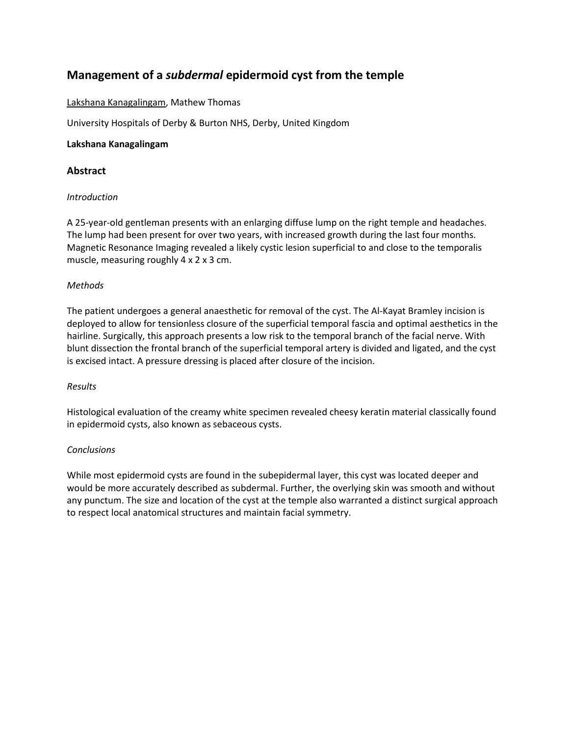## **Management of a** *subdermal* **epidermoid cyst from the temple**

### Lakshana Kanagalingam, Mathew Thomas

University Hospitals of Derby & Burton NHS, Derby, United Kingdom

#### **Lakshana Kanagalingam**

#### **Abstract**

#### *Introduction*

A 25-year-old gentleman presents with an enlarging diffuse lump on the right temple and headaches. The lump had been present for over two years, with increased growth during the last four months. Magnetic Resonance Imaging revealed a likely cystic lesion superficial to and close to the temporalis muscle, measuring roughly 4 x 2 x 3 cm.

#### *Methods*

The patient undergoes a general anaesthetic for removal of the cyst. The Al-Kayat Bramley incision is deployed to allow for tensionless closure of the superficial temporal fascia and optimal aesthetics in the hairline. Surgically, this approach presents a low risk to the temporal branch of the facial nerve. With blunt dissection the frontal branch of the superficial temporal artery is divided and ligated, and the cyst is excised intact. A pressure dressing is placed after closure of the incision.

#### *Results*

Histological evaluation of the creamy white specimen revealed cheesy keratin material classically found in epidermoid cysts, also known as sebaceous cysts.

#### *Conclusions*

While most epidermoid cysts are found in the subepidermal layer, this cyst was located deeper and would be more accurately described as subdermal. Further, the overlying skin was smooth and without any punctum. The size and location of the cyst at the temple also warranted a distinct surgical approach to respect local anatomical structures and maintain facial symmetry.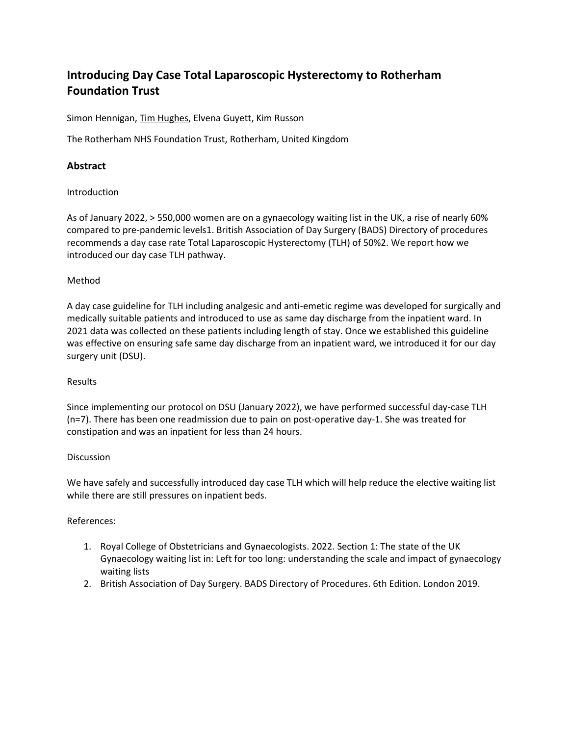# **Introducing Day Case Total Laparoscopic Hysterectomy to Rotherham Foundation Trust**

Simon Hennigan, Tim Hughes, Elvena Guyett, Kim Russon

The Rotherham NHS Foundation Trust, Rotherham, United Kingdom

## **Abstract**

#### Introduction

As of January 2022, > 550,000 women are on a gynaecology waiting list in the UK, a rise of nearly 60% compared to pre-pandemic levels1. British Association of Day Surgery (BADS) Directory of procedures recommends a day case rate Total Laparoscopic Hysterectomy (TLH) of 50%2. We report how we introduced our day case TLH pathway.

#### Method

A day case guideline for TLH including analgesic and anti-emetic regime was developed for surgically and medically suitable patients and introduced to use as same day discharge from the inpatient ward. In 2021 data was collected on these patients including length of stay. Once we established this guideline was effective on ensuring safe same day discharge from an inpatient ward, we introduced it for our day surgery unit (DSU).

#### Results

Since implementing our protocol on DSU (January 2022), we have performed successful day-case TLH (n=7). There has been one readmission due to pain on post-operative day-1. She was treated for constipation and was an inpatient for less than 24 hours.

#### **Discussion**

We have safely and successfully introduced day case TLH which will help reduce the elective waiting list while there are still pressures on inpatient beds.

## References:

- 1. Royal College of Obstetricians and Gynaecologists. 2022. Section 1: The state of the UK Gynaecology waiting list in: Left for too long: understanding the scale and impact of gynaecology waiting lists
- 2. British Association of Day Surgery. BADS Directory of Procedures. 6th Edition. London 2019.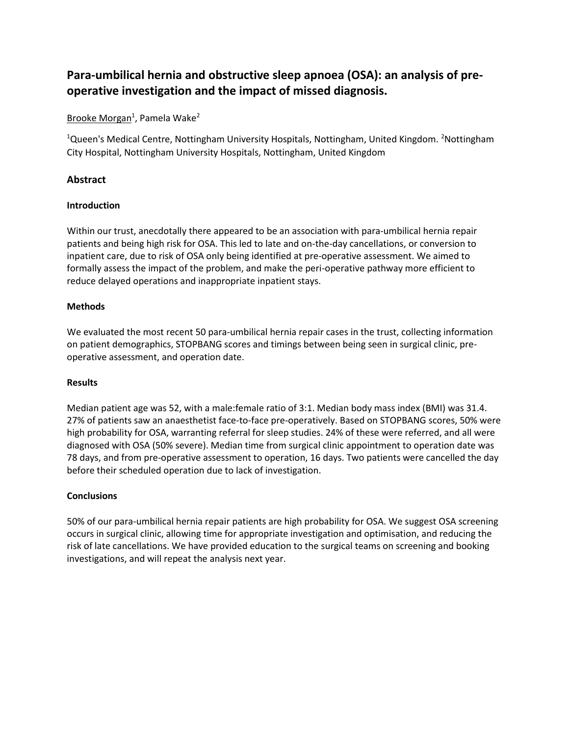# **Para-umbilical hernia and obstructive sleep apnoea (OSA): an analysis of preoperative investigation and the impact of missed diagnosis.**

## Brooke Morgan<sup>1</sup>, Pamela Wake<sup>2</sup>

<sup>1</sup>Queen's Medical Centre, Nottingham University Hospitals, Nottingham, United Kingdom. <sup>2</sup>Nottingham City Hospital, Nottingham University Hospitals, Nottingham, United Kingdom

## **Abstract**

#### **Introduction**

Within our trust, anecdotally there appeared to be an association with para-umbilical hernia repair patients and being high risk for OSA. This led to late and on-the-day cancellations, or conversion to inpatient care, due to risk of OSA only being identified at pre-operative assessment. We aimed to formally assess the impact of the problem, and make the peri-operative pathway more efficient to reduce delayed operations and inappropriate inpatient stays.

#### **Methods**

We evaluated the most recent 50 para-umbilical hernia repair cases in the trust, collecting information on patient demographics, STOPBANG scores and timings between being seen in surgical clinic, preoperative assessment, and operation date.

#### **Results**

Median patient age was 52, with a male:female ratio of 3:1. Median body mass index (BMI) was 31.4. 27% of patients saw an anaesthetist face-to-face pre-operatively. Based on STOPBANG scores, 50% were high probability for OSA, warranting referral for sleep studies. 24% of these were referred, and all were diagnosed with OSA (50% severe). Median time from surgical clinic appointment to operation date was 78 days, and from pre-operative assessment to operation, 16 days. Two patients were cancelled the day before their scheduled operation due to lack of investigation.

#### **Conclusions**

50% of our para-umbilical hernia repair patients are high probability for OSA. We suggest OSA screening occurs in surgical clinic, allowing time for appropriate investigation and optimisation, and reducing the risk of late cancellations. We have provided education to the surgical teams on screening and booking investigations, and will repeat the analysis next year.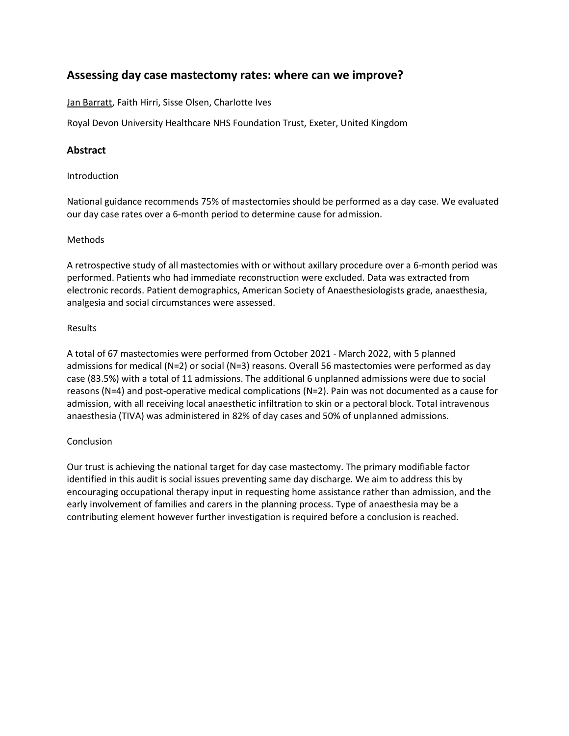## **Assessing day case mastectomy rates: where can we improve?**

Jan Barratt, Faith Hirri, Sisse Olsen, Charlotte Ives

Royal Devon University Healthcare NHS Foundation Trust, Exeter, United Kingdom

## **Abstract**

#### Introduction

National guidance recommends 75% of mastectomies should be performed as a day case. We evaluated our day case rates over a 6-month period to determine cause for admission.

#### Methods

A retrospective study of all mastectomies with or without axillary procedure over a 6-month period was performed. Patients who had immediate reconstruction were excluded. Data was extracted from electronic records. Patient demographics, American Society of Anaesthesiologists grade, anaesthesia, analgesia and social circumstances were assessed.

#### Results

A total of 67 mastectomies were performed from October 2021 - March 2022, with 5 planned admissions for medical (N=2) or social (N=3) reasons. Overall 56 mastectomies were performed as day case (83.5%) with a total of 11 admissions. The additional 6 unplanned admissions were due to social reasons (N=4) and post-operative medical complications (N=2). Pain was not documented as a cause for admission, with all receiving local anaesthetic infiltration to skin or a pectoral block. Total intravenous anaesthesia (TIVA) was administered in 82% of day cases and 50% of unplanned admissions.

#### Conclusion

Our trust is achieving the national target for day case mastectomy. The primary modifiable factor identified in this audit is social issues preventing same day discharge. We aim to address this by encouraging occupational therapy input in requesting home assistance rather than admission, and the early involvement of families and carers in the planning process. Type of anaesthesia may be a contributing element however further investigation is required before a conclusion is reached.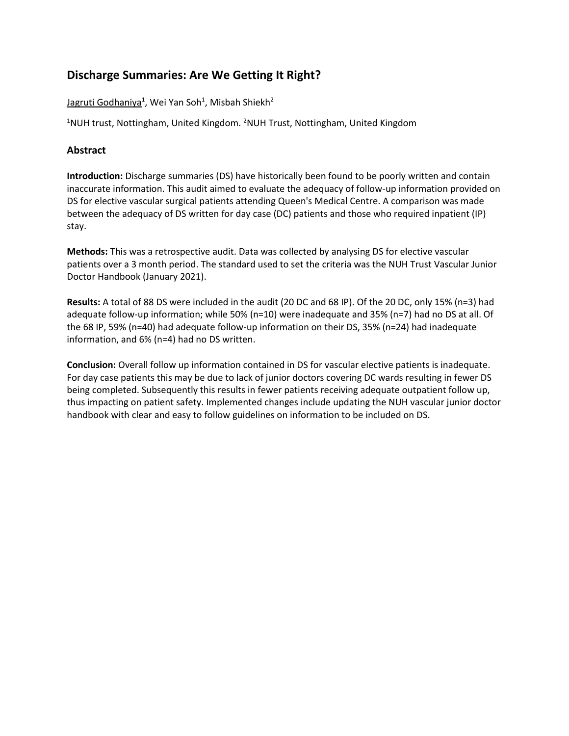## **Discharge Summaries: Are We Getting It Right?**

Jagruti Godhaniya<sup>1</sup>, Wei Yan Soh<sup>1</sup>, Misbah Shiekh<sup>2</sup>

<sup>1</sup>NUH trust, Nottingham, United Kingdom. <sup>2</sup>NUH Trust, Nottingham, United Kingdom

### **Abstract**

**Introduction:** Discharge summaries (DS) have historically been found to be poorly written and contain inaccurate information. This audit aimed to evaluate the adequacy of follow-up information provided on DS for elective vascular surgical patients attending Queen's Medical Centre. A comparison was made between the adequacy of DS written for day case (DC) patients and those who required inpatient (IP) stay.

**Methods:** This was a retrospective audit. Data was collected by analysing DS for elective vascular patients over a 3 month period. The standard used to set the criteria was the NUH Trust Vascular Junior Doctor Handbook (January 2021).

**Results:** A total of 88 DS were included in the audit (20 DC and 68 IP). Of the 20 DC, only 15% (n=3) had adequate follow-up information; while 50% (n=10) were inadequate and 35% (n=7) had no DS at all. Of the 68 IP, 59% (n=40) had adequate follow-up information on their DS, 35% (n=24) had inadequate information, and 6% (n=4) had no DS written.

**Conclusion:** Overall follow up information contained in DS for vascular elective patients is inadequate. For day case patients this may be due to lack of junior doctors covering DC wards resulting in fewer DS being completed. Subsequently this results in fewer patients receiving adequate outpatient follow up, thus impacting on patient safety. Implemented changes include updating the NUH vascular junior doctor handbook with clear and easy to follow guidelines on information to be included on DS.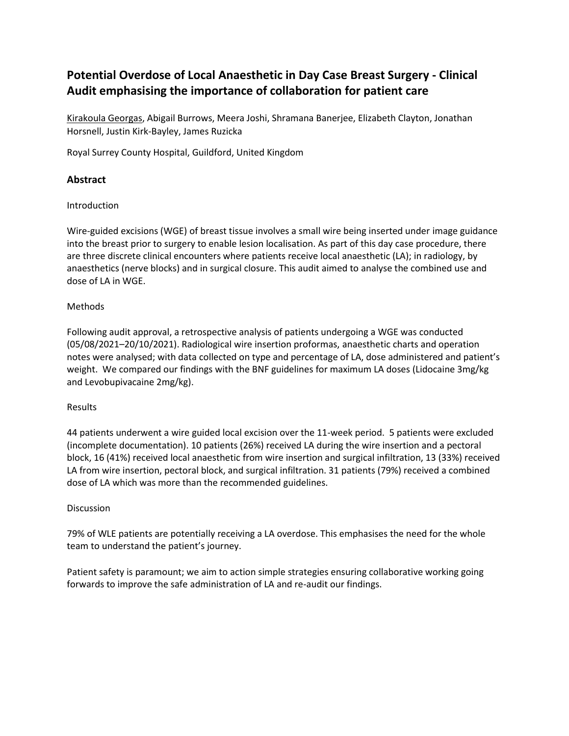# **Potential Overdose of Local Anaesthetic in Day Case Breast Surgery - Clinical Audit emphasising the importance of collaboration for patient care**

Kirakoula Georgas, Abigail Burrows, Meera Joshi, Shramana Banerjee, Elizabeth Clayton, Jonathan Horsnell, Justin Kirk-Bayley, James Ruzicka

Royal Surrey County Hospital, Guildford, United Kingdom

## **Abstract**

#### Introduction

Wire-guided excisions (WGE) of breast tissue involves a small wire being inserted under image guidance into the breast prior to surgery to enable lesion localisation. As part of this day case procedure, there are three discrete clinical encounters where patients receive local anaesthetic (LA); in radiology, by anaesthetics (nerve blocks) and in surgical closure. This audit aimed to analyse the combined use and dose of LA in WGE.

#### Methods

Following audit approval, a retrospective analysis of patients undergoing a WGE was conducted (05/08/2021–20/10/2021). Radiological wire insertion proformas, anaesthetic charts and operation notes were analysed; with data collected on type and percentage of LA, dose administered and patient's weight. We compared our findings with the BNF guidelines for maximum LA doses (Lidocaine 3mg/kg and Levobupivacaine 2mg/kg).

#### Results

44 patients underwent a wire guided local excision over the 11-week period. 5 patients were excluded (incomplete documentation). 10 patients (26%) received LA during the wire insertion and a pectoral block, 16 (41%) received local anaesthetic from wire insertion and surgical infiltration, 13 (33%) received LA from wire insertion, pectoral block, and surgical infiltration. 31 patients (79%) received a combined dose of LA which was more than the recommended guidelines.

#### **Discussion**

79% of WLE patients are potentially receiving a LA overdose. This emphasises the need for the whole team to understand the patient's journey.

Patient safety is paramount; we aim to action simple strategies ensuring collaborative working going forwards to improve the safe administration of LA and re-audit our findings.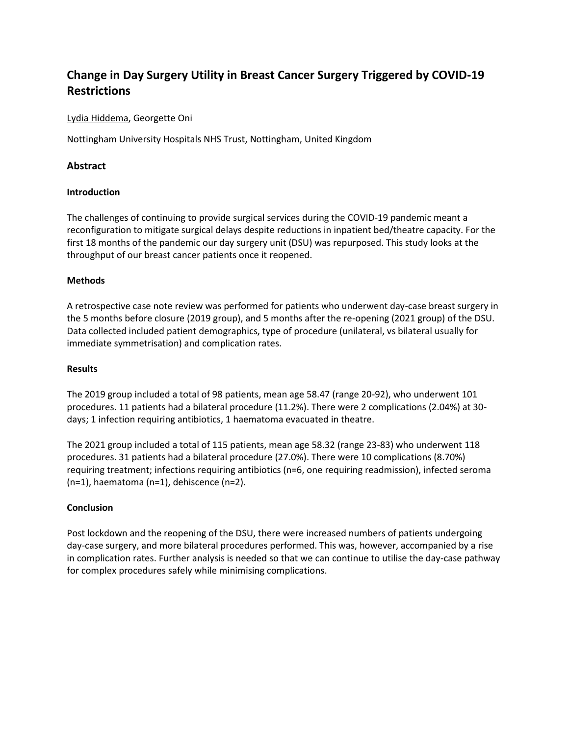# **Change in Day Surgery Utility in Breast Cancer Surgery Triggered by COVID-19 Restrictions**

Lydia Hiddema, Georgette Oni

Nottingham University Hospitals NHS Trust, Nottingham, United Kingdom

## **Abstract**

#### **Introduction**

The challenges of continuing to provide surgical services during the COVID-19 pandemic meant a reconfiguration to mitigate surgical delays despite reductions in inpatient bed/theatre capacity. For the first 18 months of the pandemic our day surgery unit (DSU) was repurposed. This study looks at the throughput of our breast cancer patients once it reopened.

#### **Methods**

A retrospective case note review was performed for patients who underwent day-case breast surgery in the 5 months before closure (2019 group), and 5 months after the re-opening (2021 group) of the DSU. Data collected included patient demographics, type of procedure (unilateral, vs bilateral usually for immediate symmetrisation) and complication rates.

#### **Results**

The 2019 group included a total of 98 patients, mean age 58.47 (range 20-92), who underwent 101 procedures. 11 patients had a bilateral procedure (11.2%). There were 2 complications (2.04%) at 30 days; 1 infection requiring antibiotics, 1 haematoma evacuated in theatre.

The 2021 group included a total of 115 patients, mean age 58.32 (range 23-83) who underwent 118 procedures. 31 patients had a bilateral procedure (27.0%). There were 10 complications (8.70%) requiring treatment; infections requiring antibiotics (n=6, one requiring readmission), infected seroma (n=1), haematoma (n=1), dehiscence (n=2).

#### **Conclusion**

Post lockdown and the reopening of the DSU, there were increased numbers of patients undergoing day-case surgery, and more bilateral procedures performed. This was, however, accompanied by a rise in complication rates. Further analysis is needed so that we can continue to utilise the day-case pathway for complex procedures safely while minimising complications.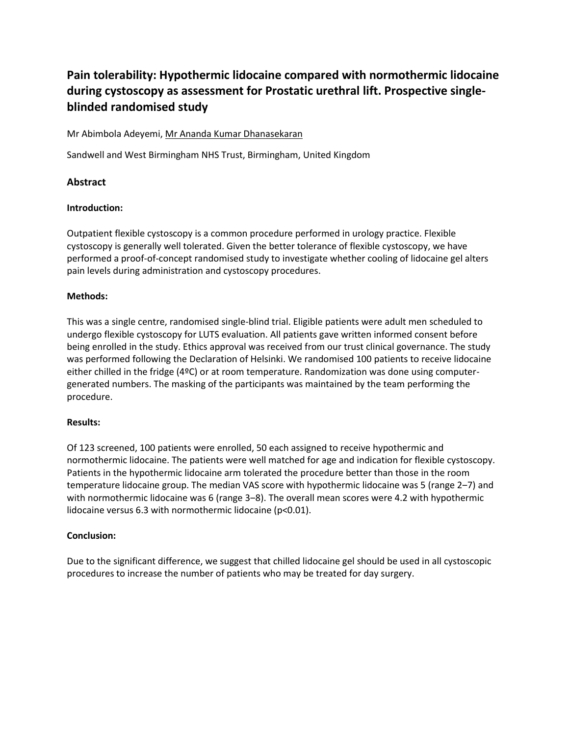# **Pain tolerability: Hypothermic lidocaine compared with normothermic lidocaine during cystoscopy as assessment for Prostatic urethral lift. Prospective singleblinded randomised study**

#### Mr Abimbola Adeyemi, Mr Ananda Kumar Dhanasekaran

Sandwell and West Birmingham NHS Trust, Birmingham, United Kingdom

## **Abstract**

#### **Introduction:**

Outpatient flexible cystoscopy is a common procedure performed in urology practice. Flexible cystoscopy is generally well tolerated. Given the better tolerance of flexible cystoscopy, we have performed a proof-of-concept randomised study to investigate whether cooling of lidocaine gel alters pain levels during administration and cystoscopy procedures.

#### **Methods:**

This was a single centre, randomised single-blind trial. Eligible patients were adult men scheduled to undergo flexible cystoscopy for LUTS evaluation. All patients gave written informed consent before being enrolled in the study. Ethics approval was received from our trust clinical governance. The study was performed following the Declaration of Helsinki. We randomised 100 patients to receive lidocaine either chilled in the fridge (4ºC) or at room temperature. Randomization was done using computergenerated numbers. The masking of the participants was maintained by the team performing the procedure.

#### **Results:**

Of 123 screened, 100 patients were enrolled, 50 each assigned to receive hypothermic and normothermic lidocaine. The patients were well matched for age and indication for flexible cystoscopy. Patients in the hypothermic lidocaine arm tolerated the procedure better than those in the room temperature lidocaine group. The median VAS score with hypothermic lidocaine was 5 (range 2-7) and with normothermic lidocaine was 6 (range 3–8). The overall mean scores were 4.2 with hypothermic lidocaine versus 6.3 with normothermic lidocaine (p<0.01).

#### **Conclusion:**

Due to the significant difference, we suggest that chilled lidocaine gel should be used in all cystoscopic procedures to increase the number of patients who may be treated for day surgery.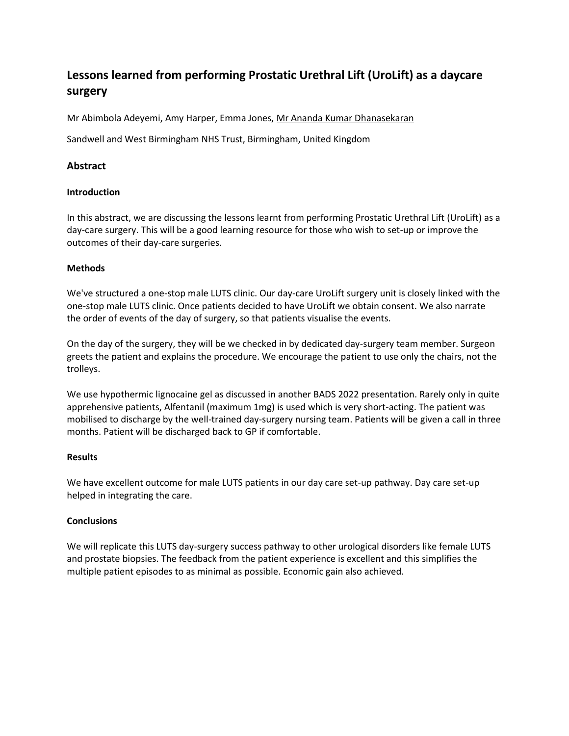# **Lessons learned from performing Prostatic Urethral Lift (UroLift) as a daycare surgery**

Mr Abimbola Adeyemi, Amy Harper, Emma Jones, Mr Ananda Kumar Dhanasekaran

Sandwell and West Birmingham NHS Trust, Birmingham, United Kingdom

### **Abstract**

#### **Introduction**

In this abstract, we are discussing the lessons learnt from performing Prostatic Urethral Lift (UroLift) as a day-care surgery. This will be a good learning resource for those who wish to set-up or improve the outcomes of their day-care surgeries.

#### **Methods**

We've structured a one-stop male LUTS clinic. Our day-care UroLift surgery unit is closely linked with the one-stop male LUTS clinic. Once patients decided to have UroLift we obtain consent. We also narrate the order of events of the day of surgery, so that patients visualise the events.

On the day of the surgery, they will be we checked in by dedicated day-surgery team member. Surgeon greets the patient and explains the procedure. We encourage the patient to use only the chairs, not the trolleys.

We use hypothermic lignocaine gel as discussed in another BADS 2022 presentation. Rarely only in quite apprehensive patients, Alfentanil (maximum 1mg) is used which is very short-acting. The patient was mobilised to discharge by the well-trained day-surgery nursing team. Patients will be given a call in three months. Patient will be discharged back to GP if comfortable.

#### **Results**

We have excellent outcome for male LUTS patients in our day care set-up pathway. Day care set-up helped in integrating the care.

#### **Conclusions**

We will replicate this LUTS day-surgery success pathway to other urological disorders like female LUTS and prostate biopsies. The feedback from the patient experience is excellent and this simplifies the multiple patient episodes to as minimal as possible. Economic gain also achieved.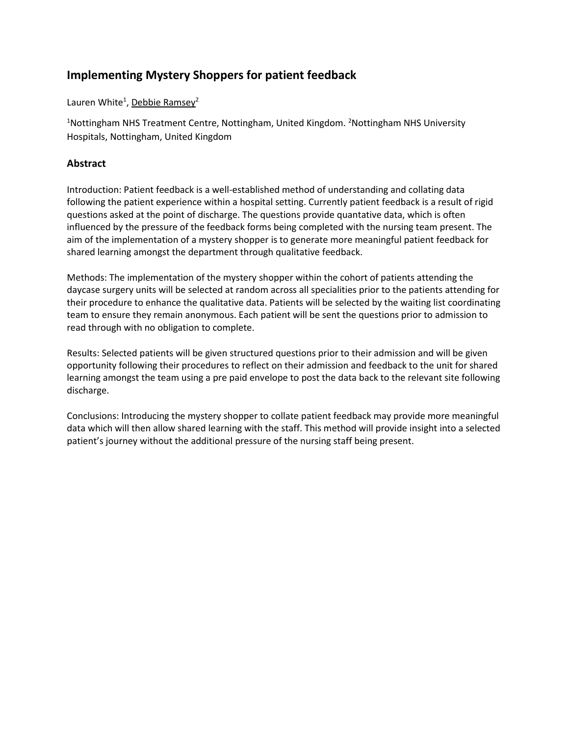## **Implementing Mystery Shoppers for patient feedback**

Lauren White<sup>1</sup>, Debbie Ramsey<sup>2</sup>

<sup>1</sup>Nottingham NHS Treatment Centre, Nottingham, United Kingdom. <sup>2</sup>Nottingham NHS University Hospitals, Nottingham, United Kingdom

## **Abstract**

Introduction: Patient feedback is a well-established method of understanding and collating data following the patient experience within a hospital setting. Currently patient feedback is a result of rigid questions asked at the point of discharge. The questions provide quantative data, which is often influenced by the pressure of the feedback forms being completed with the nursing team present. The aim of the implementation of a mystery shopper is to generate more meaningful patient feedback for shared learning amongst the department through qualitative feedback.

Methods: The implementation of the mystery shopper within the cohort of patients attending the daycase surgery units will be selected at random across all specialities prior to the patients attending for their procedure to enhance the qualitative data. Patients will be selected by the waiting list coordinating team to ensure they remain anonymous. Each patient will be sent the questions prior to admission to read through with no obligation to complete.

Results: Selected patients will be given structured questions prior to their admission and will be given opportunity following their procedures to reflect on their admission and feedback to the unit for shared learning amongst the team using a pre paid envelope to post the data back to the relevant site following discharge.

Conclusions: Introducing the mystery shopper to collate patient feedback may provide more meaningful data which will then allow shared learning with the staff. This method will provide insight into a selected patient's journey without the additional pressure of the nursing staff being present.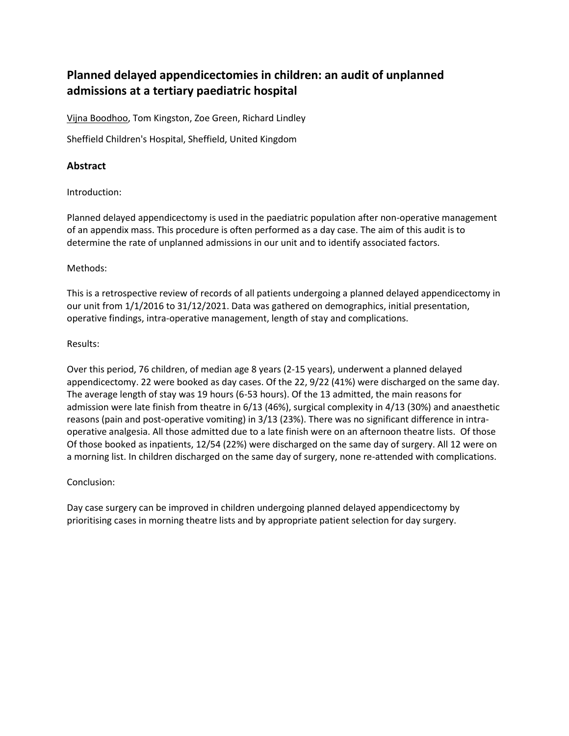## **Planned delayed appendicectomies in children: an audit of unplanned admissions at a tertiary paediatric hospital**

Vijna Boodhoo, Tom Kingston, Zoe Green, Richard Lindley

Sheffield Children's Hospital, Sheffield, United Kingdom

## **Abstract**

Introduction:

Planned delayed appendicectomy is used in the paediatric population after non-operative management of an appendix mass. This procedure is often performed as a day case. The aim of this audit is to determine the rate of unplanned admissions in our unit and to identify associated factors.

#### Methods:

This is a retrospective review of records of all patients undergoing a planned delayed appendicectomy in our unit from 1/1/2016 to 31/12/2021. Data was gathered on demographics, initial presentation, operative findings, intra-operative management, length of stay and complications.

#### Results:

Over this period, 76 children, of median age 8 years (2-15 years), underwent a planned delayed appendicectomy. 22 were booked as day cases. Of the 22, 9/22 (41%) were discharged on the same day. The average length of stay was 19 hours (6-53 hours). Of the 13 admitted, the main reasons for admission were late finish from theatre in 6/13 (46%), surgical complexity in 4/13 (30%) and anaesthetic reasons (pain and post-operative vomiting) in 3/13 (23%). There was no significant difference in intraoperative analgesia. All those admitted due to a late finish were on an afternoon theatre lists. Of those Of those booked as inpatients, 12/54 (22%) were discharged on the same day of surgery. All 12 were on a morning list. In children discharged on the same day of surgery, none re-attended with complications.

#### Conclusion:

Day case surgery can be improved in children undergoing planned delayed appendicectomy by prioritising cases in morning theatre lists and by appropriate patient selection for day surgery.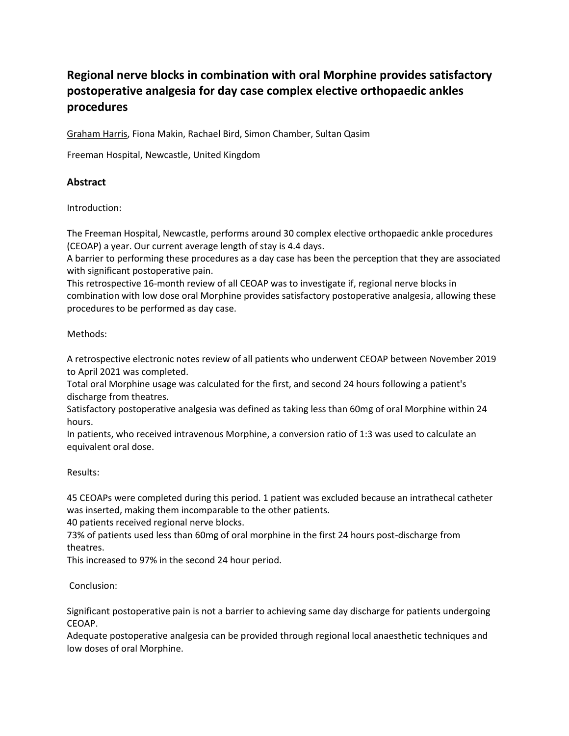# **Regional nerve blocks in combination with oral Morphine provides satisfactory postoperative analgesia for day case complex elective orthopaedic ankles procedures**

Graham Harris, Fiona Makin, Rachael Bird, Simon Chamber, Sultan Qasim

Freeman Hospital, Newcastle, United Kingdom

## **Abstract**

Introduction:

The Freeman Hospital, Newcastle, performs around 30 complex elective orthopaedic ankle procedures (CEOAP) a year. Our current average length of stay is 4.4 days.

A barrier to performing these procedures as a day case has been the perception that they are associated with significant postoperative pain.

This retrospective 16-month review of all CEOAP was to investigate if, regional nerve blocks in combination with low dose oral Morphine provides satisfactory postoperative analgesia, allowing these procedures to be performed as day case.

#### Methods:

A retrospective electronic notes review of all patients who underwent CEOAP between November 2019 to April 2021 was completed.

Total oral Morphine usage was calculated for the first, and second 24 hours following a patient's discharge from theatres.

Satisfactory postoperative analgesia was defined as taking less than 60mg of oral Morphine within 24 hours.

In patients, who received intravenous Morphine, a conversion ratio of 1:3 was used to calculate an equivalent oral dose.

Results:

45 CEOAPs were completed during this period. 1 patient was excluded because an intrathecal catheter was inserted, making them incomparable to the other patients.

40 patients received regional nerve blocks.

73% of patients used less than 60mg of oral morphine in the first 24 hours post-discharge from theatres.

This increased to 97% in the second 24 hour period.

Conclusion:

Significant postoperative pain is not a barrier to achieving same day discharge for patients undergoing CEOAP.

Adequate postoperative analgesia can be provided through regional local anaesthetic techniques and low doses of oral Morphine.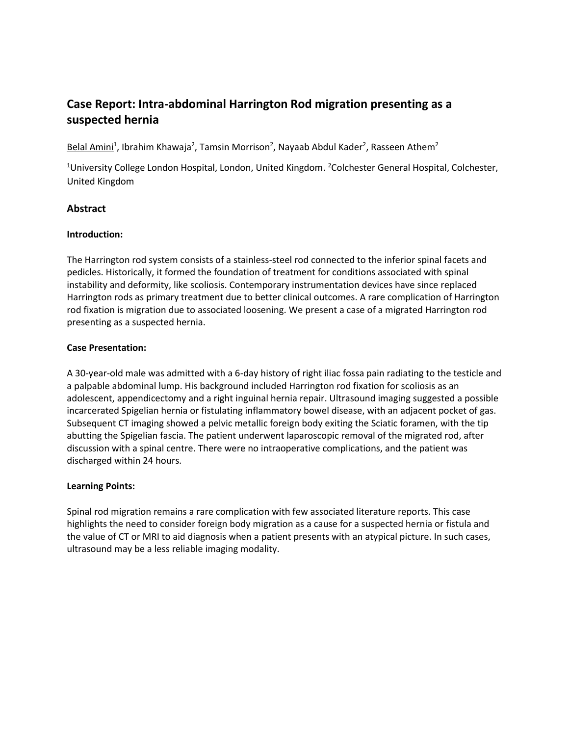## **Case Report: Intra-abdominal Harrington Rod migration presenting as a suspected hernia**

Belal Amini<sup>1</sup>, Ibrahim Khawaja<sup>2</sup>, Tamsin Morrison<sup>2</sup>, Nayaab Abdul Kader<sup>2</sup>, Rasseen Athem<sup>2</sup>

<sup>1</sup>University College London Hospital, London, United Kingdom. <sup>2</sup>Colchester General Hospital, Colchester, United Kingdom

## **Abstract**

#### **Introduction:**

The Harrington rod system consists of a stainless-steel rod connected to the inferior spinal facets and pedicles. Historically, it formed the foundation of treatment for conditions associated with spinal instability and deformity, like scoliosis. Contemporary instrumentation devices have since replaced Harrington rods as primary treatment due to better clinical outcomes. A rare complication of Harrington rod fixation is migration due to associated loosening. We present a case of a migrated Harrington rod presenting as a suspected hernia.

#### **Case Presentation:**

A 30-year-old male was admitted with a 6-day history of right iliac fossa pain radiating to the testicle and a palpable abdominal lump. His background included Harrington rod fixation for scoliosis as an adolescent, appendicectomy and a right inguinal hernia repair. Ultrasound imaging suggested a possible incarcerated Spigelian hernia or fistulating inflammatory bowel disease, with an adjacent pocket of gas. Subsequent CT imaging showed a pelvic metallic foreign body exiting the Sciatic foramen, with the tip abutting the Spigelian fascia. The patient underwent laparoscopic removal of the migrated rod, after discussion with a spinal centre. There were no intraoperative complications, and the patient was discharged within 24 hours.

## **Learning Points:**

Spinal rod migration remains a rare complication with few associated literature reports. This case highlights the need to consider foreign body migration as a cause for a suspected hernia or fistula and the value of CT or MRI to aid diagnosis when a patient presents with an atypical picture. In such cases, ultrasound may be a less reliable imaging modality.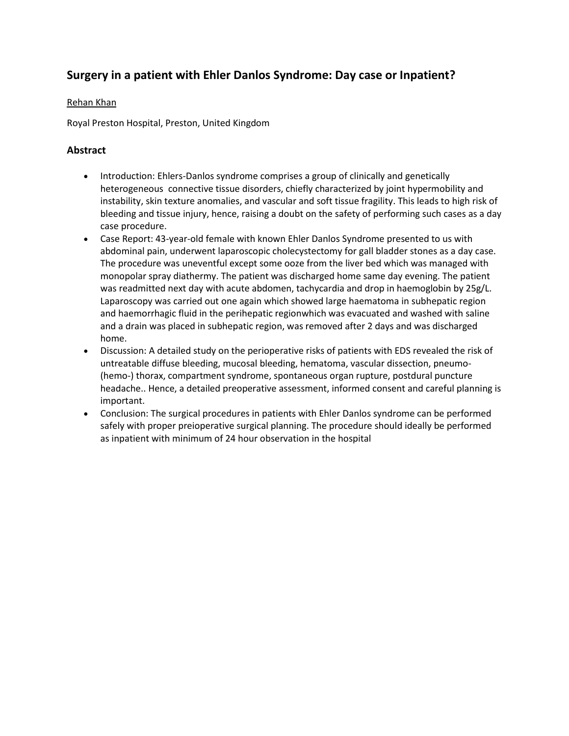## **Surgery in a patient with Ehler Danlos Syndrome: Day case or Inpatient?**

### Rehan Khan

Royal Preston Hospital, Preston, United Kingdom

## **Abstract**

- Introduction: Ehlers-Danlos syndrome comprises a group of clinically and genetically heterogeneous connective tissue disorders, chiefly characterized by joint hypermobility and instability, skin texture anomalies, and vascular and soft tissue fragility. This leads to high risk of bleeding and tissue injury, hence, raising a doubt on the safety of performing such cases as a day case procedure.
- Case Report: 43-year-old female with known Ehler Danlos Syndrome presented to us with abdominal pain, underwent laparoscopic cholecystectomy for gall bladder stones as a day case. The procedure was uneventful except some ooze from the liver bed which was managed with monopolar spray diathermy. The patient was discharged home same day evening. The patient was readmitted next day with acute abdomen, tachycardia and drop in haemoglobin by 25g/L. Laparoscopy was carried out one again which showed large haematoma in subhepatic region and haemorrhagic fluid in the perihepatic regionwhich was evacuated and washed with saline and a drain was placed in subhepatic region, was removed after 2 days and was discharged home.
- Discussion: A detailed study on the perioperative risks of patients with EDS revealed the risk of untreatable diffuse bleeding, mucosal bleeding, hematoma, vascular dissection, pneumo- (hemo-) thorax, compartment syndrome, spontaneous organ rupture, postdural puncture headache.. Hence, a detailed preoperative assessment, informed consent and careful planning is important.
- Conclusion: The surgical procedures in patients with Ehler Danlos syndrome can be performed safely with proper preioperative surgical planning. The procedure should ideally be performed as inpatient with minimum of 24 hour observation in the hospital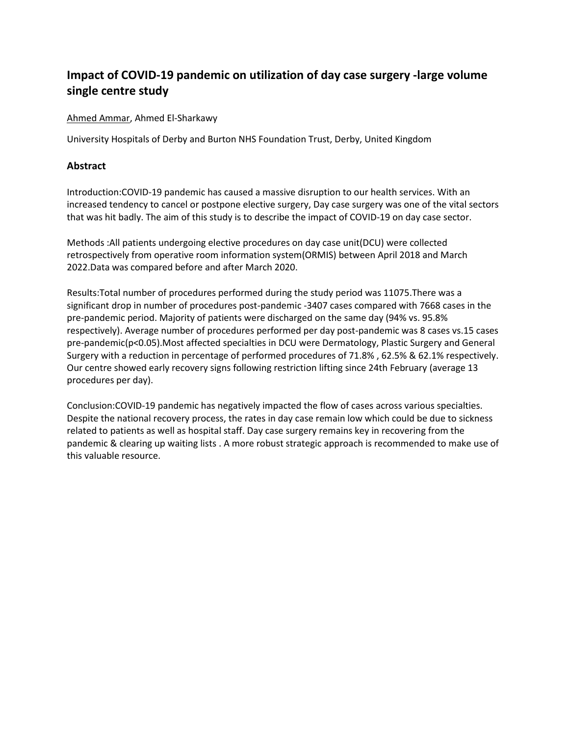# **Impact of COVID-19 pandemic on utilization of day case surgery -large volume single centre study**

#### Ahmed Ammar, Ahmed El-Sharkawy

University Hospitals of Derby and Burton NHS Foundation Trust, Derby, United Kingdom

## **Abstract**

Introduction:COVID-19 pandemic has caused a massive disruption to our health services. With an increased tendency to cancel or postpone elective surgery, Day case surgery was one of the vital sectors that was hit badly. The aim of this study is to describe the impact of COVID-19 on day case sector.

Methods :All patients undergoing elective procedures on day case unit(DCU) were collected retrospectively from operative room information system(ORMIS) between April 2018 and March 2022.Data was compared before and after March 2020.

Results:Total number of procedures performed during the study period was 11075.There was a significant drop in number of procedures post-pandemic -3407 cases compared with 7668 cases in the pre-pandemic period. Majority of patients were discharged on the same day (94% vs. 95.8% respectively). Average number of procedures performed per day post-pandemic was 8 cases vs.15 cases pre-pandemic(p<0.05).Most affected specialties in DCU were Dermatology, Plastic Surgery and General Surgery with a reduction in percentage of performed procedures of 71.8% , 62.5% & 62.1% respectively. Our centre showed early recovery signs following restriction lifting since 24th February (average 13 procedures per day).

Conclusion:COVID-19 pandemic has negatively impacted the flow of cases across various specialties. Despite the national recovery process, the rates in day case remain low which could be due to sickness related to patients as well as hospital staff. Day case surgery remains key in recovering from the pandemic & clearing up waiting lists . A more robust strategic approach is recommended to make use of this valuable resource.